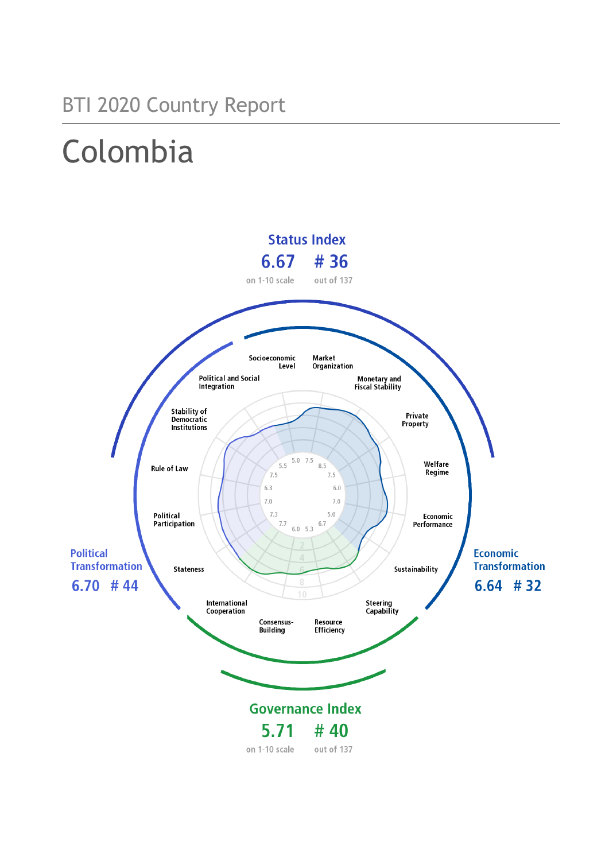# BTI 2020 Country Report

# Colombia

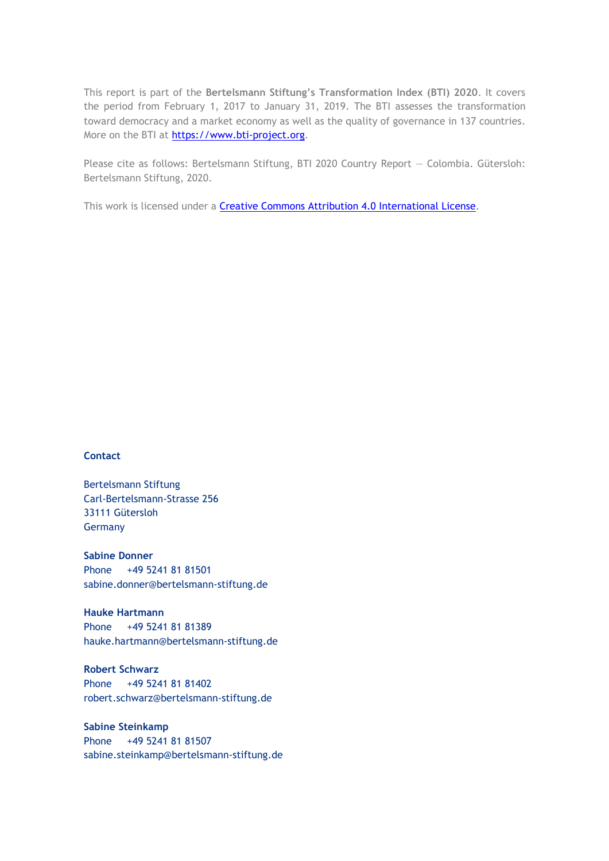This report is part of the **Bertelsmann Stiftung's Transformation Index (BTI) 2020**. It covers the period from February 1, 2017 to January 31, 2019. The BTI assesses the transformation toward democracy and a market economy as well as the quality of governance in 137 countries. More on the BTI at [https://www.bti-project.org.](https://www.bti-project.org/)

Please cite as follows: Bertelsmann Stiftung, BTI 2020 Country Report — Colombia. Gütersloh: Bertelsmann Stiftung, 2020.

This work is licensed under a **Creative Commons Attribution 4.0 International License**.

#### **Contact**

Bertelsmann Stiftung Carl-Bertelsmann-Strasse 256 33111 Gütersloh Germany

**Sabine Donner** Phone +49 5241 81 81501 sabine.donner@bertelsmann-stiftung.de

**Hauke Hartmann** Phone +49 5241 81 81389 hauke.hartmann@bertelsmann-stiftung.de

**Robert Schwarz** Phone +49 5241 81 81402 robert.schwarz@bertelsmann-stiftung.de

**Sabine Steinkamp** Phone +49 5241 81 81507 sabine.steinkamp@bertelsmann-stiftung.de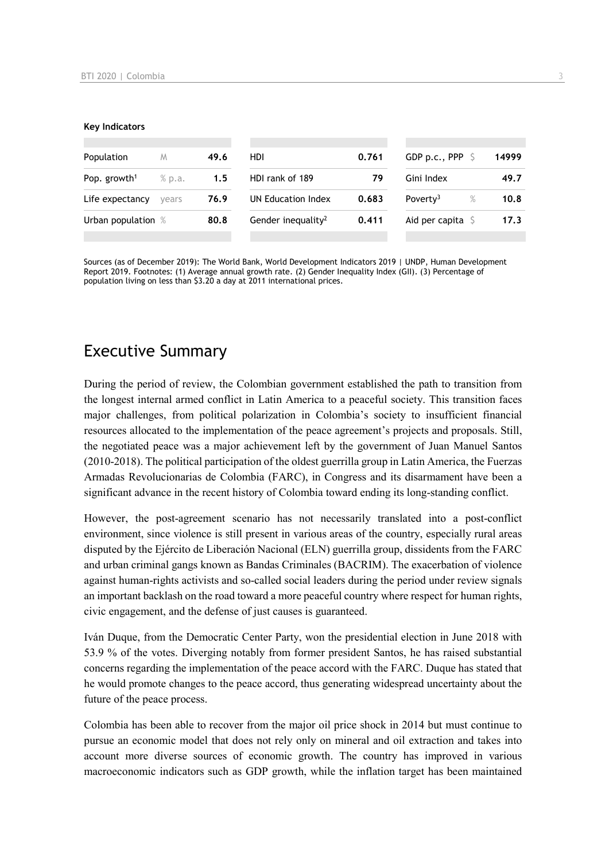#### **Key Indicators**

| Population               | M      | 49.6 | HDI.                           | 0.761 | GDP p.c., PPP 9           |      | 14999 |
|--------------------------|--------|------|--------------------------------|-------|---------------------------|------|-------|
| Pop. growth <sup>1</sup> | % p.a. | 1.5  | HDI rank of 189                | 79    | Gini Index                |      | 49.7  |
| Life expectancy          | vears  | 76.9 | UN Education Index             | 0.683 | Poverty <sup>3</sup>      | $\%$ | 10.8  |
| Urban population %       |        | 80.8 | Gender inequality <sup>2</sup> | 0.411 | Aid per capita $\sqrt{5}$ |      | 17.3  |
|                          |        |      |                                |       |                           |      |       |

Sources (as of December 2019): The World Bank, World Development Indicators 2019 | UNDP, Human Development Report 2019. Footnotes: (1) Average annual growth rate. (2) Gender Inequality Index (GII). (3) Percentage of population living on less than \$3.20 a day at 2011 international prices.

## Executive Summary

During the period of review, the Colombian government established the path to transition from the longest internal armed conflict in Latin America to a peaceful society. This transition faces major challenges, from political polarization in Colombia's society to insufficient financial resources allocated to the implementation of the peace agreement's projects and proposals. Still, the negotiated peace was a major achievement left by the government of Juan Manuel Santos (2010-2018). The political participation of the oldest guerrilla group in Latin America, the Fuerzas Armadas Revolucionarias de Colombia (FARC), in Congress and its disarmament have been a significant advance in the recent history of Colombia toward ending its long-standing conflict.

However, the post-agreement scenario has not necessarily translated into a post-conflict environment, since violence is still present in various areas of the country, especially rural areas disputed by the Ejército de Liberación Nacional (ELN) guerrilla group, dissidents from the FARC and urban criminal gangs known as Bandas Criminales (BACRIM). The exacerbation of violence against human-rights activists and so-called social leaders during the period under review signals an important backlash on the road toward a more peaceful country where respect for human rights, civic engagement, and the defense of just causes is guaranteed.

Iván Duque, from the Democratic Center Party, won the presidential election in June 2018 with 53.9 % of the votes. Diverging notably from former president Santos, he has raised substantial concerns regarding the implementation of the peace accord with the FARC. Duque has stated that he would promote changes to the peace accord, thus generating widespread uncertainty about the future of the peace process.

Colombia has been able to recover from the major oil price shock in 2014 but must continue to pursue an economic model that does not rely only on mineral and oil extraction and takes into account more diverse sources of economic growth. The country has improved in various macroeconomic indicators such as GDP growth, while the inflation target has been maintained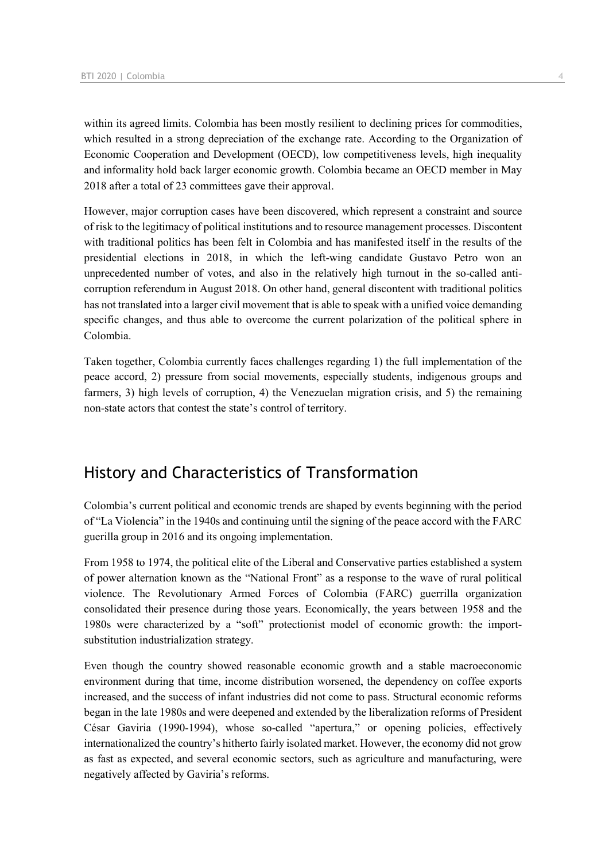within its agreed limits. Colombia has been mostly resilient to declining prices for commodities, which resulted in a strong depreciation of the exchange rate. According to the Organization of Economic Cooperation and Development (OECD), low competitiveness levels, high inequality and informality hold back larger economic growth. Colombia became an OECD member in May 2018 after a total of 23 committees gave their approval.

However, major corruption cases have been discovered, which represent a constraint and source of risk to the legitimacy of political institutions and to resource management processes. Discontent with traditional politics has been felt in Colombia and has manifested itself in the results of the presidential elections in 2018, in which the left-wing candidate Gustavo Petro won an unprecedented number of votes, and also in the relatively high turnout in the so-called anticorruption referendum in August 2018. On other hand, general discontent with traditional politics has not translated into a larger civil movement that is able to speak with a unified voice demanding specific changes, and thus able to overcome the current polarization of the political sphere in Colombia.

Taken together, Colombia currently faces challenges regarding 1) the full implementation of the peace accord, 2) pressure from social movements, especially students, indigenous groups and farmers, 3) high levels of corruption, 4) the Venezuelan migration crisis, and 5) the remaining non-state actors that contest the state's control of territory.

## History and Characteristics of Transformation

Colombia's current political and economic trends are shaped by events beginning with the period of "La Violencia" in the 1940s and continuing until the signing of the peace accord with the FARC guerilla group in 2016 and its ongoing implementation.

From 1958 to 1974, the political elite of the Liberal and Conservative parties established a system of power alternation known as the "National Front" as a response to the wave of rural political violence. The Revolutionary Armed Forces of Colombia (FARC) guerrilla organization consolidated their presence during those years. Economically, the years between 1958 and the 1980s were characterized by a "soft" protectionist model of economic growth: the importsubstitution industrialization strategy.

Even though the country showed reasonable economic growth and a stable macroeconomic environment during that time, income distribution worsened, the dependency on coffee exports increased, and the success of infant industries did not come to pass. Structural economic reforms began in the late 1980s and were deepened and extended by the liberalization reforms of President César Gaviria (1990-1994), whose so-called "apertura," or opening policies, effectively internationalized the country's hitherto fairly isolated market. However, the economy did not grow as fast as expected, and several economic sectors, such as agriculture and manufacturing, were negatively affected by Gaviria's reforms.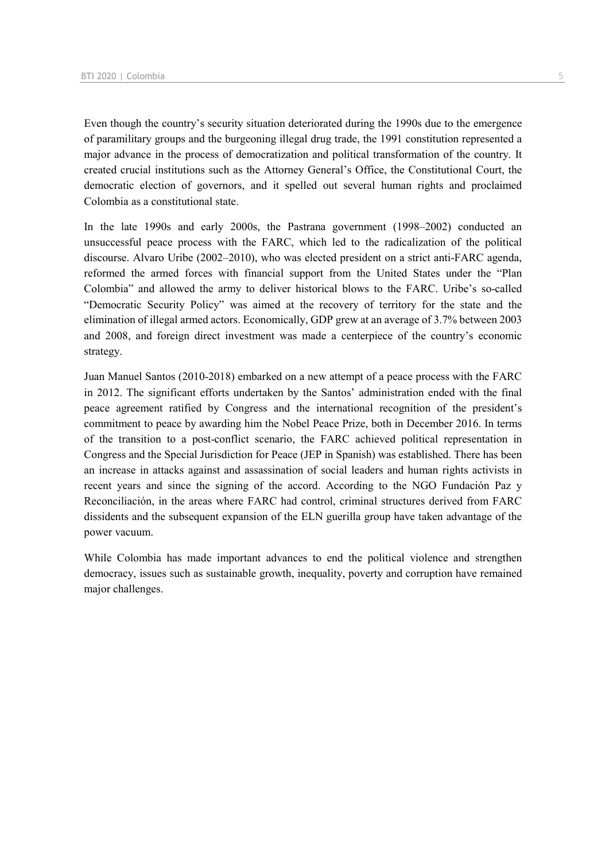Even though the country's security situation deteriorated during the 1990s due to the emergence of paramilitary groups and the burgeoning illegal drug trade, the 1991 constitution represented a major advance in the process of democratization and political transformation of the country. It created crucial institutions such as the Attorney General's Office, the Constitutional Court, the democratic election of governors, and it spelled out several human rights and proclaimed Colombia as a constitutional state.

In the late 1990s and early 2000s, the Pastrana government (1998–2002) conducted an unsuccessful peace process with the FARC, which led to the radicalization of the political discourse. Alvaro Uribe (2002–2010), who was elected president on a strict anti-FARC agenda, reformed the armed forces with financial support from the United States under the "Plan Colombia" and allowed the army to deliver historical blows to the FARC. Uribe's so-called "Democratic Security Policy" was aimed at the recovery of territory for the state and the elimination of illegal armed actors. Economically, GDP grew at an average of 3.7% between 2003 and 2008, and foreign direct investment was made a centerpiece of the country's economic strategy.

Juan Manuel Santos (2010-2018) embarked on a new attempt of a peace process with the FARC in 2012. The significant efforts undertaken by the Santos' administration ended with the final peace agreement ratified by Congress and the international recognition of the president's commitment to peace by awarding him the Nobel Peace Prize, both in December 2016. In terms of the transition to a post-conflict scenario, the FARC achieved political representation in Congress and the Special Jurisdiction for Peace (JEP in Spanish) was established. There has been an increase in attacks against and assassination of social leaders and human rights activists in recent years and since the signing of the accord. According to the NGO Fundación Paz y Reconciliación, in the areas where FARC had control, criminal structures derived from FARC dissidents and the subsequent expansion of the ELN guerilla group have taken advantage of the power vacuum.

While Colombia has made important advances to end the political violence and strengthen democracy, issues such as sustainable growth, inequality, poverty and corruption have remained major challenges.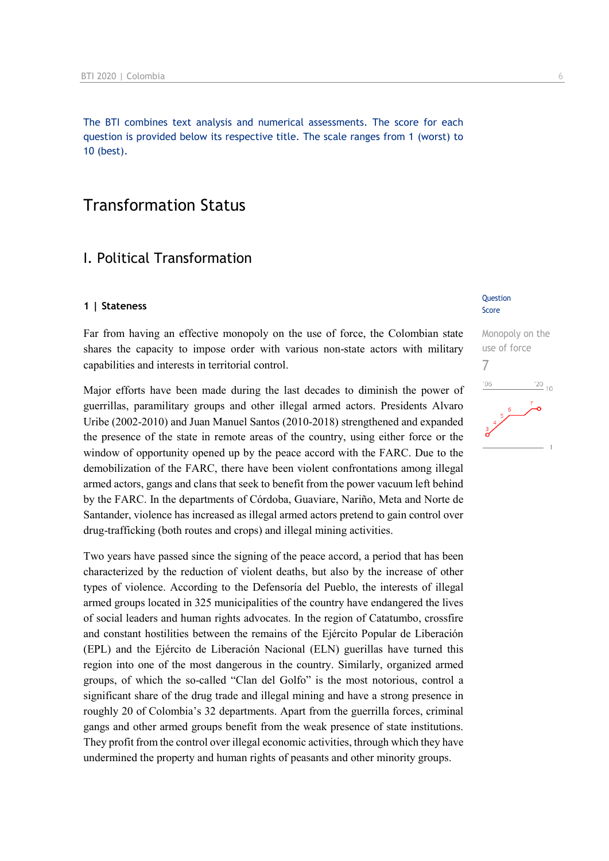The BTI combines text analysis and numerical assessments. The score for each question is provided below its respective title. The scale ranges from 1 (worst) to 10 (best).

## Transformation Status

## I. Political Transformation

#### **1 | Stateness**

Far from having an effective monopoly on the use of force, the Colombian state shares the capacity to impose order with various non-state actors with military capabilities and interests in territorial control.

Major efforts have been made during the last decades to diminish the power of guerrillas, paramilitary groups and other illegal armed actors. Presidents Alvaro Uribe (2002-2010) and Juan Manuel Santos (2010-2018) strengthened and expanded the presence of the state in remote areas of the country, using either force or the window of opportunity opened up by the peace accord with the FARC. Due to the demobilization of the FARC, there have been violent confrontations among illegal armed actors, gangs and clans that seek to benefit from the power vacuum left behind by the FARC. In the departments of Córdoba, Guaviare, Nariño, Meta and Norte de Santander, violence has increased as illegal armed actors pretend to gain control over drug-trafficking (both routes and crops) and illegal mining activities.

Two years have passed since the signing of the peace accord, a period that has been characterized by the reduction of violent deaths, but also by the increase of other types of violence. According to the Defensoría del Pueblo, the interests of illegal armed groups located in 325 municipalities of the country have endangered the lives of social leaders and human rights advocates. In the region of Catatumbo, crossfire and constant hostilities between the remains of the Ejército Popular de Liberación (EPL) and the Ejército de Liberación Nacional (ELN) guerillas have turned this region into one of the most dangerous in the country. Similarly, organized armed groups, of which the so-called "Clan del Golfo" is the most notorious, control a significant share of the drug trade and illegal mining and have a strong presence in roughly 20 of Colombia's 32 departments. Apart from the guerrilla forces, criminal gangs and other armed groups benefit from the weak presence of state institutions. They profit from the control over illegal economic activities, through which they have undermined the property and human rights of peasants and other minority groups.

#### **Ouestion** Score

## Monopoly on the use of force 7 $^{\prime}06$  $\frac{20}{10}$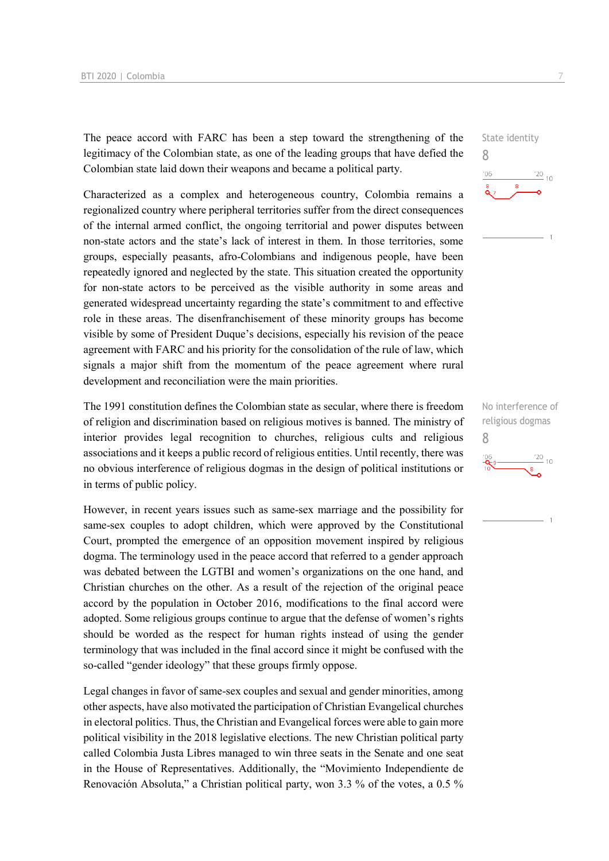The peace accord with FARC has been a step toward the strengthening of the legitimacy of the Colombian state, as one of the leading groups that have defied the Colombian state laid down their weapons and became a political party.

Characterized as a complex and heterogeneous country, Colombia remains a regionalized country where peripheral territories suffer from the direct consequences of the internal armed conflict, the ongoing territorial and power disputes between non-state actors and the state's lack of interest in them. In those territories, some groups, especially peasants, afro-Colombians and indigenous people, have been repeatedly ignored and neglected by the state. This situation created the opportunity for non-state actors to be perceived as the visible authority in some areas and generated widespread uncertainty regarding the state's commitment to and effective role in these areas. The disenfranchisement of these minority groups has become visible by some of President Duque's decisions, especially his revision of the peace agreement with FARC and his priority for the consolidation of the rule of law, which signals a major shift from the momentum of the peace agreement where rural development and reconciliation were the main priorities.

The 1991 constitution defines the Colombian state as secular, where there is freedom of religion and discrimination based on religious motives is banned. The ministry of interior provides legal recognition to churches, religious cults and religious associations and it keeps a public record of religious entities. Until recently, there was no obvious interference of religious dogmas in the design of political institutions or in terms of public policy.

However, in recent years issues such as same-sex marriage and the possibility for same-sex couples to adopt children, which were approved by the Constitutional Court, prompted the emergence of an opposition movement inspired by religious dogma. The terminology used in the peace accord that referred to a gender approach was debated between the LGTBI and women's organizations on the one hand, and Christian churches on the other. As a result of the rejection of the original peace accord by the population in October 2016, modifications to the final accord were adopted. Some religious groups continue to argue that the defense of women's rights should be worded as the respect for human rights instead of using the gender terminology that was included in the final accord since it might be confused with the so-called "gender ideology" that these groups firmly oppose.

Legal changes in favor of same-sex couples and sexual and gender minorities, among other aspects, have also motivated the participation of Christian Evangelical churches in electoral politics. Thus, the Christian and Evangelical forces were able to gain more political visibility in the 2018 legislative elections. The new Christian political party called Colombia Justa Libres managed to win three seats in the Senate and one seat in the House of Representatives. Additionally, the "Movimiento Independiente de Renovación Absoluta," a Christian political party, won 3.3 % of the votes, a 0.5 %



No interference of religious dogmas 8 $\frac{20}{10}$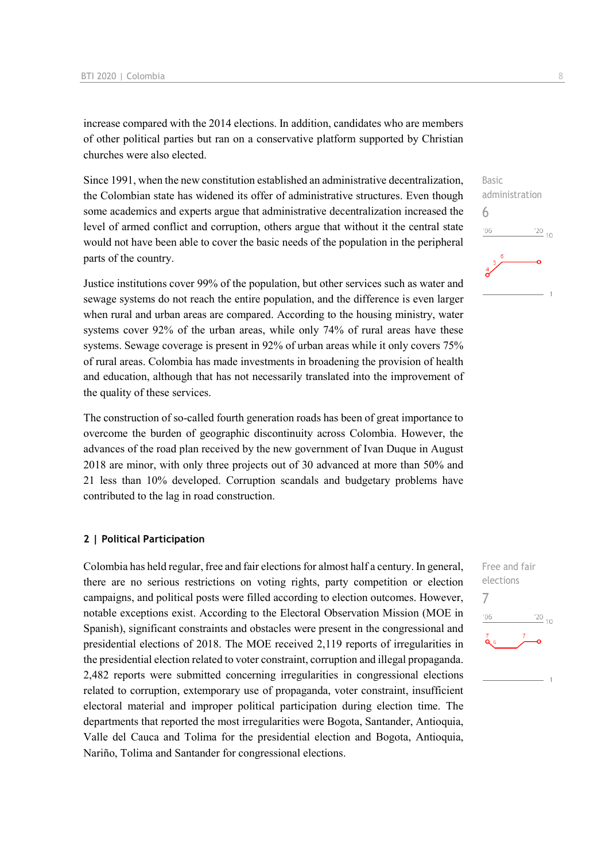increase compared with the 2014 elections. In addition, candidates who are members of other political parties but ran on a conservative platform supported by Christian churches were also elected.

Since 1991, when the new constitution established an administrative decentralization, the Colombian state has widened its offer of administrative structures. Even though some academics and experts argue that administrative decentralization increased the level of armed conflict and corruption, others argue that without it the central state would not have been able to cover the basic needs of the population in the peripheral parts of the country.

Justice institutions cover 99% of the population, but other services such as water and sewage systems do not reach the entire population, and the difference is even larger when rural and urban areas are compared. According to the housing ministry, water systems cover 92% of the urban areas, while only 74% of rural areas have these systems. Sewage coverage is present in 92% of urban areas while it only covers 75% of rural areas. Colombia has made investments in broadening the provision of health and education, although that has not necessarily translated into the improvement of the quality of these services.

The construction of so-called fourth generation roads has been of great importance to overcome the burden of geographic discontinuity across Colombia. However, the advances of the road plan received by the new government of Ivan Duque in August 2018 are minor, with only three projects out of 30 advanced at more than 50% and 21 less than 10% developed. Corruption scandals and budgetary problems have contributed to the lag in road construction.

#### **2 | Political Participation**

Colombia has held regular, free and fair elections for almost half a century. In general, there are no serious restrictions on voting rights, party competition or election campaigns, and political posts were filled according to election outcomes. However, notable exceptions exist. According to the Electoral Observation Mission (MOE in Spanish), significant constraints and obstacles were present in the congressional and presidential elections of 2018. The MOE received 2,119 reports of irregularities in the presidential election related to voter constraint, corruption and illegal propaganda. 2,482 reports were submitted concerning irregularities in congressional elections related to corruption, extemporary use of propaganda, voter constraint, insufficient electoral material and improper political participation during election time. The departments that reported the most irregularities were Bogota, Santander, Antioquia, Valle del Cauca and Tolima for the presidential election and Bogota, Antioquia, Nariño, Tolima and Santander for congressional elections.

Basic administration 6  $06'$  $\frac{20}{10}$ 

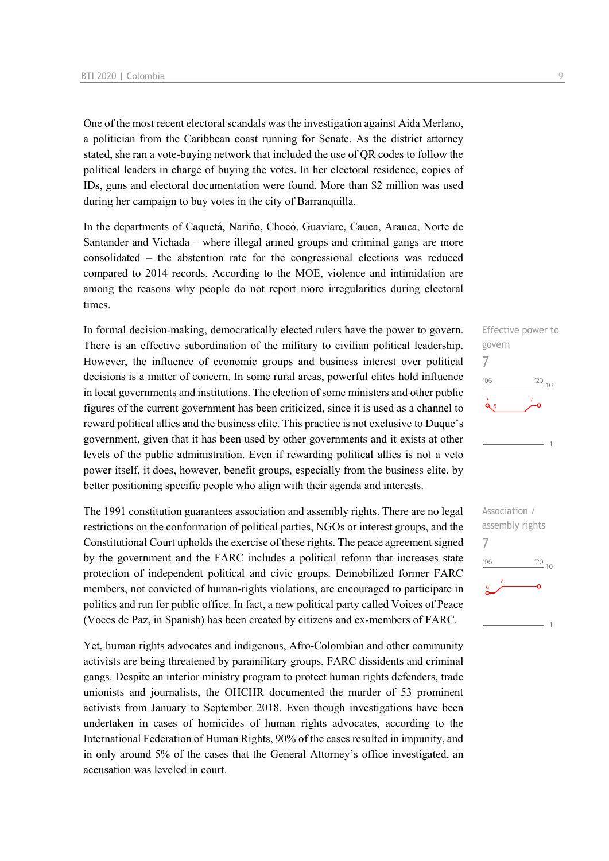One of the most recent electoral scandals was the investigation against Aida Merlano, a politician from the Caribbean coast running for Senate. As the district attorney stated, she ran a vote-buying network that included the use of QR codes to follow the political leaders in charge of buying the votes. In her electoral residence, copies of IDs, guns and electoral documentation were found. More than \$2 million was used during her campaign to buy votes in the city of Barranquilla.

In the departments of Caquetá, Nariño, Chocó, Guaviare, Cauca, Arauca, Norte de Santander and Vichada – where illegal armed groups and criminal gangs are more consolidated – the abstention rate for the congressional elections was reduced compared to 2014 records. According to the MOE, violence and intimidation are among the reasons why people do not report more irregularities during electoral times.

In formal decision-making, democratically elected rulers have the power to govern. There is an effective subordination of the military to civilian political leadership. However, the influence of economic groups and business interest over political decisions is a matter of concern. In some rural areas, powerful elites hold influence in local governments and institutions. The election of some ministers and other public figures of the current government has been criticized, since it is used as a channel to reward political allies and the business elite. This practice is not exclusive to Duque's government, given that it has been used by other governments and it exists at other levels of the public administration. Even if rewarding political allies is not a veto power itself, it does, however, benefit groups, especially from the business elite, by better positioning specific people who align with their agenda and interests.

The 1991 constitution guarantees association and assembly rights. There are no legal restrictions on the conformation of political parties, NGOs or interest groups, and the Constitutional Court upholds the exercise of these rights. The peace agreement signed by the government and the FARC includes a political reform that increases state protection of independent political and civic groups. Demobilized former FARC members, not convicted of human-rights violations, are encouraged to participate in politics and run for public office. In fact, a new political party called Voices of Peace (Voces de Paz, in Spanish) has been created by citizens and ex-members of FARC.

Yet, human rights advocates and indigenous, Afro-Colombian and other community activists are being threatened by paramilitary groups, FARC dissidents and criminal gangs. Despite an interior ministry program to protect human rights defenders, trade unionists and journalists, the OHCHR documented the murder of 53 prominent activists from January to September 2018. Even though investigations have been undertaken in cases of homicides of human rights advocates, according to the International Federation of Human Rights, 90% of the cases resulted in impunity, and in only around 5% of the cases that the General Attorney's office investigated, an accusation was leveled in court.



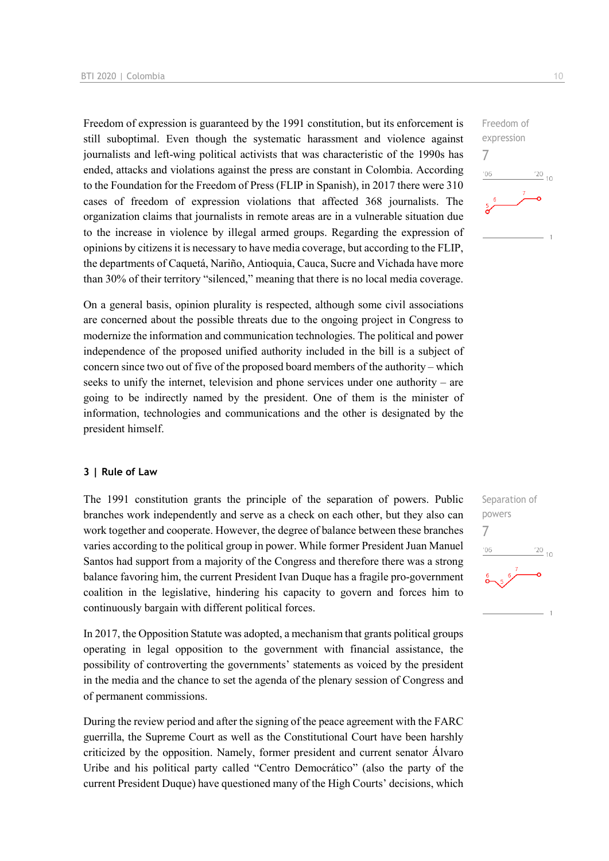Freedom of expression is guaranteed by the 1991 constitution, but its enforcement is still suboptimal. Even though the systematic harassment and violence against journalists and left-wing political activists that was characteristic of the 1990s has ended, attacks and violations against the press are constant in Colombia. According to the Foundation for the Freedom of Press (FLIP in Spanish), in 2017 there were 310 cases of freedom of expression violations that affected 368 journalists. The organization claims that journalists in remote areas are in a vulnerable situation due to the increase in violence by illegal armed groups. Regarding the expression of opinions by citizens it is necessary to have media coverage, but according to the FLIP, the departments of Caquetá, Nariño, Antioquia, Cauca, Sucre and Vichada have more than 30% of their territory "silenced," meaning that there is no local media coverage.

On a general basis, opinion plurality is respected, although some civil associations are concerned about the possible threats due to the ongoing project in Congress to modernize the information and communication technologies. The political and power independence of the proposed unified authority included in the bill is a subject of concern since two out of five of the proposed board members of the authority – which seeks to unify the internet, television and phone services under one authority – are going to be indirectly named by the president. One of them is the minister of information, technologies and communications and the other is designated by the president himself.

#### **3 | Rule of Law**

The 1991 constitution grants the principle of the separation of powers. Public branches work independently and serve as a check on each other, but they also can work together and cooperate. However, the degree of balance between these branches varies according to the political group in power. While former President Juan Manuel Santos had support from a majority of the Congress and therefore there was a strong balance favoring him, the current President Ivan Duque has a fragile pro-government coalition in the legislative, hindering his capacity to govern and forces him to continuously bargain with different political forces.

In 2017, the Opposition Statute was adopted, a mechanism that grants political groups operating in legal opposition to the government with financial assistance, the possibility of controverting the governments' statements as voiced by the president in the media and the chance to set the agenda of the plenary session of Congress and of permanent commissions.

During the review period and after the signing of the peace agreement with the FARC guerrilla, the Supreme Court as well as the Constitutional Court have been harshly criticized by the opposition. Namely, former president and current senator Álvaro Uribe and his political party called "Centro Democrático" (also the party of the current President Duque) have questioned many of the High Courts' decisions, which



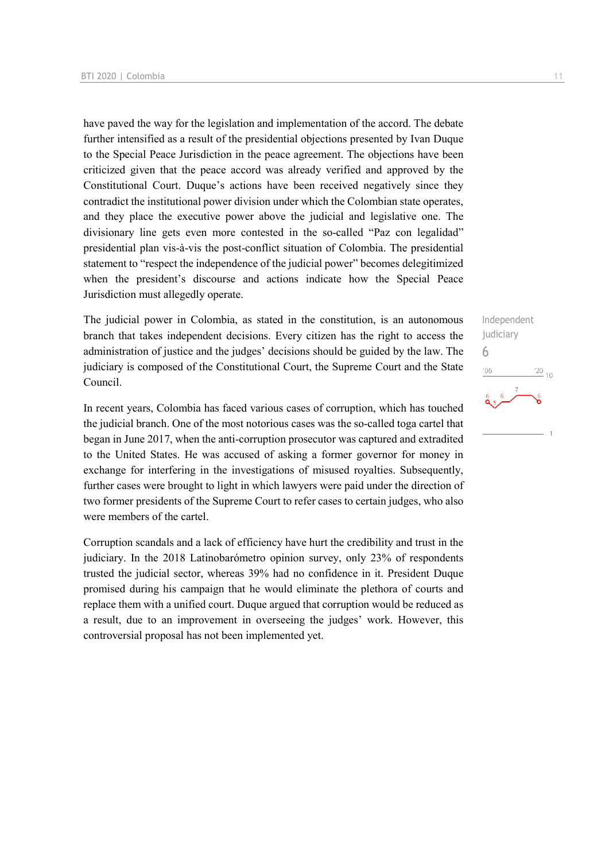have paved the way for the legislation and implementation of the accord. The debate further intensified as a result of the presidential objections presented by Ivan Duque to the Special Peace Jurisdiction in the peace agreement. The objections have been criticized given that the peace accord was already verified and approved by the Constitutional Court. Duque's actions have been received negatively since they contradict the institutional power division under which the Colombian state operates, and they place the executive power above the judicial and legislative one. The divisionary line gets even more contested in the so-called "Paz con legalidad" presidential plan vis-à-vis the post-conflict situation of Colombia. The presidential statement to "respect the independence of the judicial power" becomes delegitimized when the president's discourse and actions indicate how the Special Peace Jurisdiction must allegedly operate.

The judicial power in Colombia, as stated in the constitution, is an autonomous branch that takes independent decisions. Every citizen has the right to access the administration of justice and the judges' decisions should be guided by the law. The judiciary is composed of the Constitutional Court, the Supreme Court and the State Council.

In recent years, Colombia has faced various cases of corruption, which has touched the judicial branch. One of the most notorious cases was the so-called toga cartel that began in June 2017, when the anti-corruption prosecutor was captured and extradited to the United States. He was accused of asking a former governor for money in exchange for interfering in the investigations of misused royalties. Subsequently, further cases were brought to light in which lawyers were paid under the direction of two former presidents of the Supreme Court to refer cases to certain judges, who also were members of the cartel.

Corruption scandals and a lack of efficiency have hurt the credibility and trust in the judiciary. In the 2018 Latinobarómetro opinion survey, only 23% of respondents trusted the judicial sector, whereas 39% had no confidence in it. President Duque promised during his campaign that he would eliminate the plethora of courts and replace them with a unified court. Duque argued that corruption would be reduced as a result, due to an improvement in overseeing the judges' work. However, this controversial proposal has not been implemented yet.

Independent judiciary 6 $\frac{20}{10}$  $'06$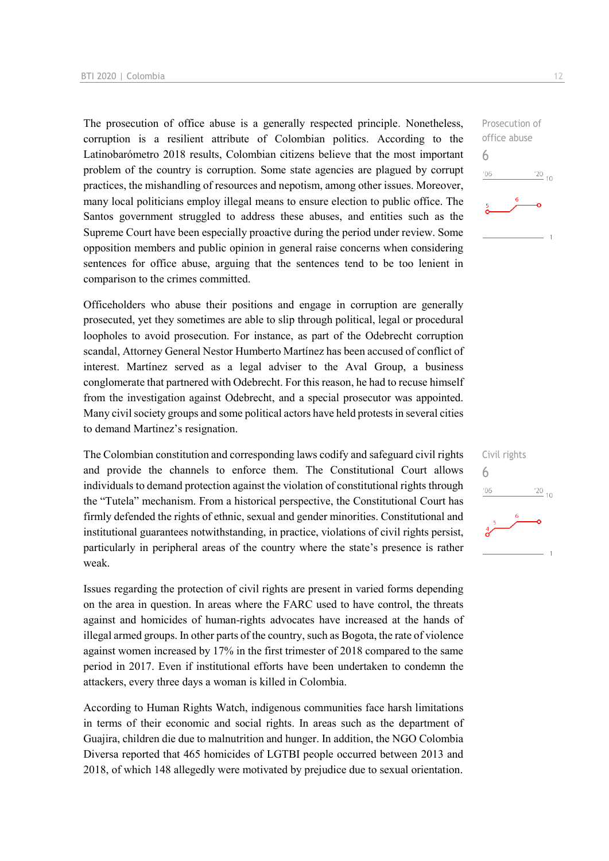The prosecution of office abuse is a generally respected principle. Nonetheless, corruption is a resilient attribute of Colombian politics. According to the Latinobarómetro 2018 results, Colombian citizens believe that the most important problem of the country is corruption. Some state agencies are plagued by corrupt practices, the mishandling of resources and nepotism, among other issues. Moreover, many local politicians employ illegal means to ensure election to public office. The Santos government struggled to address these abuses, and entities such as the Supreme Court have been especially proactive during the period under review. Some opposition members and public opinion in general raise concerns when considering sentences for office abuse, arguing that the sentences tend to be too lenient in comparison to the crimes committed.

Officeholders who abuse their positions and engage in corruption are generally prosecuted, yet they sometimes are able to slip through political, legal or procedural loopholes to avoid prosecution. For instance, as part of the Odebrecht corruption scandal, Attorney General Nestor Humberto Martínez has been accused of conflict of interest. Martínez served as a legal adviser to the Aval Group, a business conglomerate that partnered with Odebrecht. For this reason, he had to recuse himself from the investigation against Odebrecht, and a special prosecutor was appointed. Many civil society groups and some political actors have held protests in several cities to demand Martinez's resignation.

The Colombian constitution and corresponding laws codify and safeguard civil rights and provide the channels to enforce them. The Constitutional Court allows individuals to demand protection against the violation of constitutional rights through the "Tutela" mechanism. From a historical perspective, the Constitutional Court has firmly defended the rights of ethnic, sexual and gender minorities. Constitutional and institutional guarantees notwithstanding, in practice, violations of civil rights persist, particularly in peripheral areas of the country where the state's presence is rather weak.

Issues regarding the protection of civil rights are present in varied forms depending on the area in question. In areas where the FARC used to have control, the threats against and homicides of human-rights advocates have increased at the hands of illegal armed groups. In other parts of the country, such as Bogota, the rate of violence against women increased by 17% in the first trimester of 2018 compared to the same period in 2017. Even if institutional efforts have been undertaken to condemn the attackers, every three days a woman is killed in Colombia.

According to Human Rights Watch, indigenous communities face harsh limitations in terms of their economic and social rights. In areas such as the department of Guajira, children die due to malnutrition and hunger. In addition, the NGO Colombia Diversa reported that 465 homicides of LGTBI people occurred between 2013 and 2018, of which 148 allegedly were motivated by prejudice due to sexual orientation.

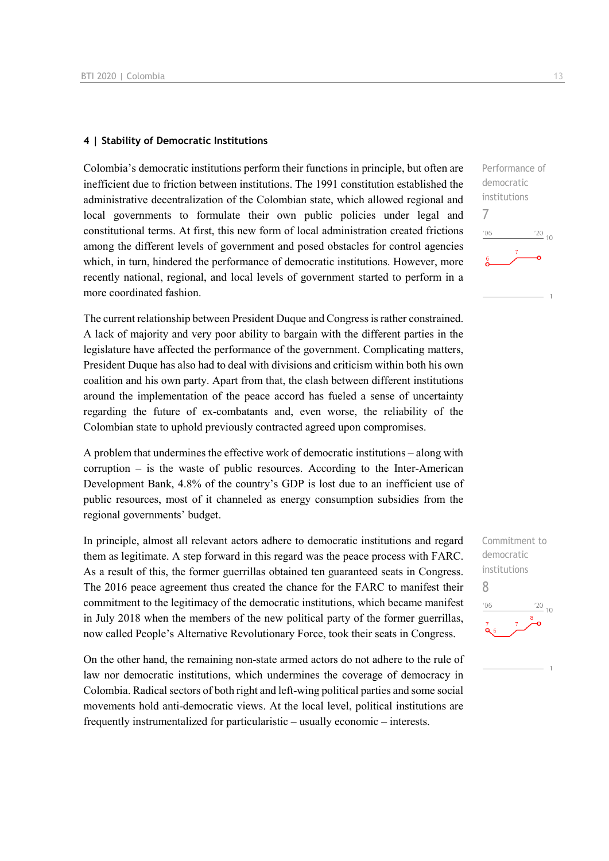#### **4 | Stability of Democratic Institutions**

Colombia's democratic institutions perform their functions in principle, but often are inefficient due to friction between institutions. The 1991 constitution established the administrative decentralization of the Colombian state, which allowed regional and local governments to formulate their own public policies under legal and constitutional terms. At first, this new form of local administration created frictions among the different levels of government and posed obstacles for control agencies which, in turn, hindered the performance of democratic institutions. However, more recently national, regional, and local levels of government started to perform in a more coordinated fashion.

The current relationship between President Duque and Congress is rather constrained. A lack of majority and very poor ability to bargain with the different parties in the legislature have affected the performance of the government. Complicating matters, President Duque has also had to deal with divisions and criticism within both his own coalition and his own party. Apart from that, the clash between different institutions around the implementation of the peace accord has fueled a sense of uncertainty regarding the future of ex-combatants and, even worse, the reliability of the Colombian state to uphold previously contracted agreed upon compromises.

A problem that undermines the effective work of democratic institutions – along with corruption – is the waste of public resources. According to the Inter-American Development Bank, 4.8% of the country's GDP is lost due to an inefficient use of public resources, most of it channeled as energy consumption subsidies from the regional governments' budget.

In principle, almost all relevant actors adhere to democratic institutions and regard them as legitimate. A step forward in this regard was the peace process with FARC. As a result of this, the former guerrillas obtained ten guaranteed seats in Congress. The 2016 peace agreement thus created the chance for the FARC to manifest their commitment to the legitimacy of the democratic institutions, which became manifest in July 2018 when the members of the new political party of the former guerrillas, now called People's Alternative Revolutionary Force, took their seats in Congress.

On the other hand, the remaining non-state armed actors do not adhere to the rule of law nor democratic institutions, which undermines the coverage of democracy in Colombia. Radical sectors of both right and left-wing political parties and some social movements hold anti-democratic views. At the local level, political institutions are frequently instrumentalized for particularistic – usually economic – interests.

Performance of democratic institutions 7  $\frac{20}{10}$  $06$ 

Commitment to democratic institutions 8 $\frac{20}{10}$  10  $06'$ 

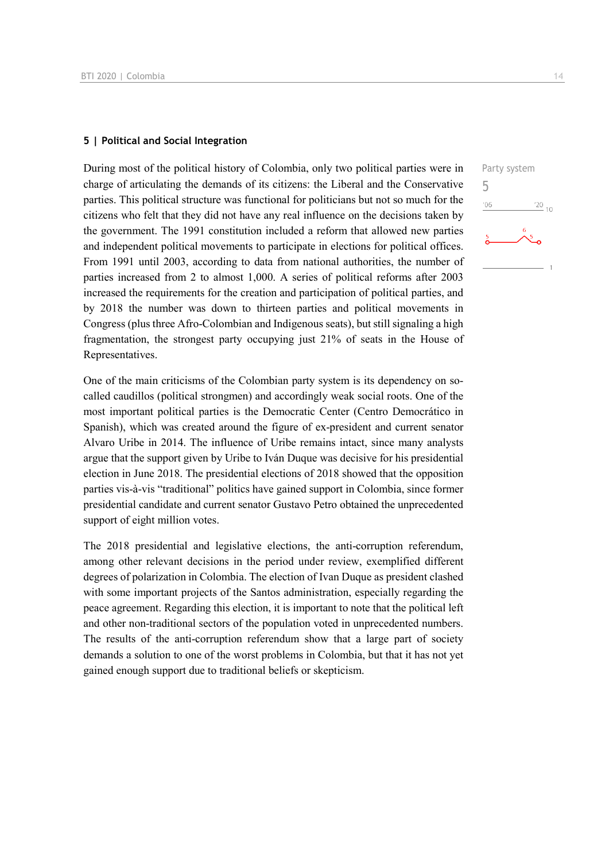#### **5 | Political and Social Integration**

During most of the political history of Colombia, only two political parties were in charge of articulating the demands of its citizens: the Liberal and the Conservative parties. This political structure was functional for politicians but not so much for the citizens who felt that they did not have any real influence on the decisions taken by the government. The 1991 constitution included a reform that allowed new parties and independent political movements to participate in elections for political offices. From 1991 until 2003, according to data from national authorities, the number of parties increased from 2 to almost 1,000. A series of political reforms after 2003 increased the requirements for the creation and participation of political parties, and by 2018 the number was down to thirteen parties and political movements in Congress (plus three Afro-Colombian and Indigenous seats), but still signaling a high fragmentation, the strongest party occupying just 21% of seats in the House of Representatives.

One of the main criticisms of the Colombian party system is its dependency on socalled caudillos (political strongmen) and accordingly weak social roots. One of the most important political parties is the Democratic Center (Centro Democrático in Spanish), which was created around the figure of ex-president and current senator Alvaro Uribe in 2014. The influence of Uribe remains intact, since many analysts argue that the support given by Uribe to Iván Duque was decisive for his presidential election in June 2018. The presidential elections of 2018 showed that the opposition parties vis-à-vis "traditional" politics have gained support in Colombia, since former presidential candidate and current senator Gustavo Petro obtained the unprecedented support of eight million votes.

The 2018 presidential and legislative elections, the anti-corruption referendum, among other relevant decisions in the period under review, exemplified different degrees of polarization in Colombia. The election of Ivan Duque as president clashed with some important projects of the Santos administration, especially regarding the peace agreement. Regarding this election, it is important to note that the political left and other non-traditional sectors of the population voted in unprecedented numbers. The results of the anti-corruption referendum show that a large part of society demands a solution to one of the worst problems in Colombia, but that it has not yet gained enough support due to traditional beliefs or skepticism.

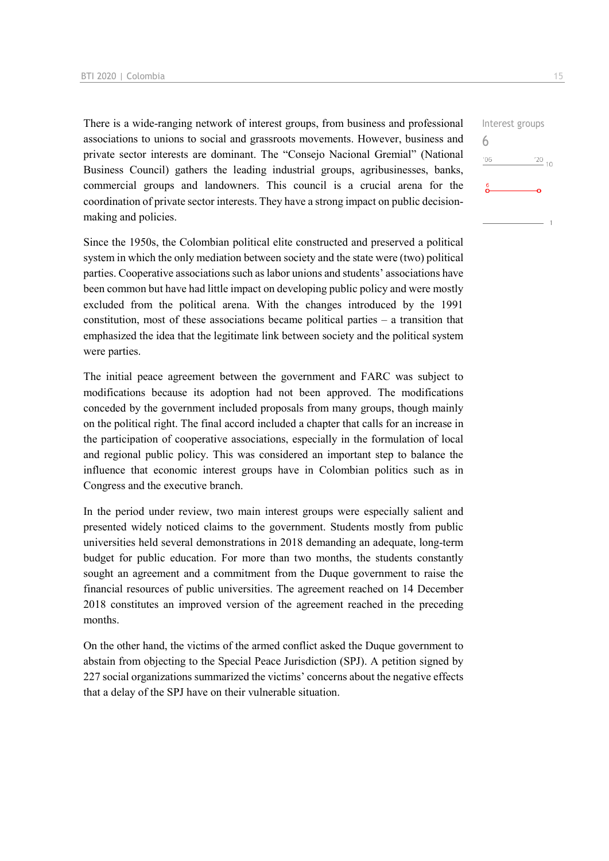There is a wide-ranging network of interest groups, from business and professional associations to unions to social and grassroots movements. However, business and private sector interests are dominant. The "Consejo Nacional Gremial" (National Business Council) gathers the leading industrial groups, agribusinesses, banks, commercial groups and landowners. This council is a crucial arena for the coordination of private sector interests. They have a strong impact on public decisionmaking and policies.

Since the 1950s, the Colombian political elite constructed and preserved a political system in which the only mediation between society and the state were (two) political parties. Cooperative associations such as labor unions and students' associations have been common but have had little impact on developing public policy and were mostly excluded from the political arena. With the changes introduced by the 1991 constitution, most of these associations became political parties – a transition that emphasized the idea that the legitimate link between society and the political system were parties.

The initial peace agreement between the government and FARC was subject to modifications because its adoption had not been approved. The modifications conceded by the government included proposals from many groups, though mainly on the political right. The final accord included a chapter that calls for an increase in the participation of cooperative associations, especially in the formulation of local and regional public policy. This was considered an important step to balance the influence that economic interest groups have in Colombian politics such as in Congress and the executive branch.

In the period under review, two main interest groups were especially salient and presented widely noticed claims to the government. Students mostly from public universities held several demonstrations in 2018 demanding an adequate, long-term budget for public education. For more than two months, the students constantly sought an agreement and a commitment from the Duque government to raise the financial resources of public universities. The agreement reached on 14 December 2018 constitutes an improved version of the agreement reached in the preceding months.

On the other hand, the victims of the armed conflict asked the Duque government to abstain from objecting to the Special Peace Jurisdiction (SPJ). A petition signed by 227 social organizations summarized the victims' concerns about the negative effects that a delay of the SPJ have on their vulnerable situation.

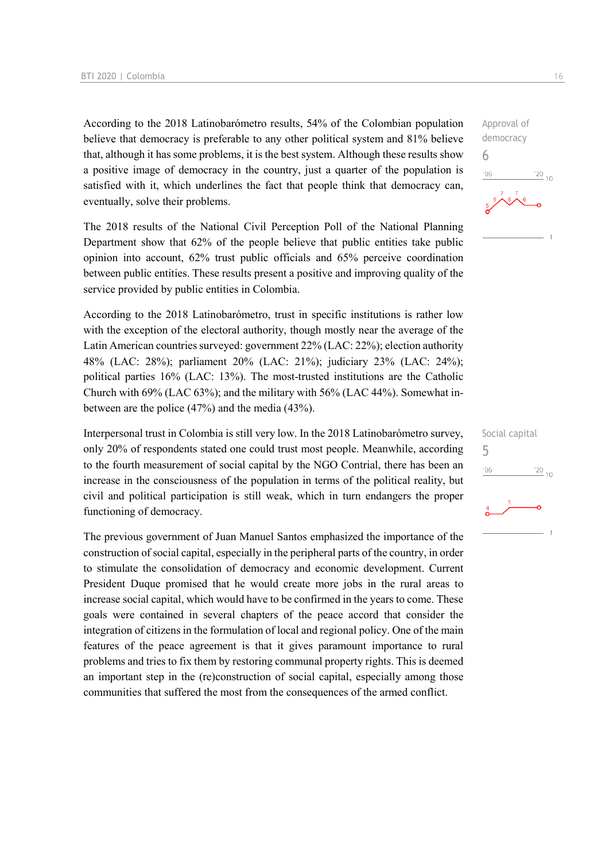According to the 2018 Latinobarómetro results, 54% of the Colombian population believe that democracy is preferable to any other political system and 81% believe that, although it has some problems, it is the best system. Although these results show a positive image of democracy in the country, just a quarter of the population is satisfied with it, which underlines the fact that people think that democracy can, eventually, solve their problems.

The 2018 results of the National Civil Perception Poll of the National Planning Department show that 62% of the people believe that public entities take public opinion into account, 62% trust public officials and 65% perceive coordination between public entities. These results present a positive and improving quality of the service provided by public entities in Colombia.

According to the 2018 Latinobarómetro, trust in specific institutions is rather low with the exception of the electoral authority, though mostly near the average of the Latin American countries surveyed: government 22% (LAC: 22%); election authority 48% (LAC: 28%); parliament 20% (LAC: 21%); judiciary 23% (LAC: 24%); political parties 16% (LAC: 13%). The most-trusted institutions are the Catholic Church with 69% (LAC 63%); and the military with 56% (LAC 44%). Somewhat inbetween are the police (47%) and the media (43%).

Interpersonal trust in Colombia is still very low. In the 2018 Latinobarómetro survey, only 20% of respondents stated one could trust most people. Meanwhile, according to the fourth measurement of social capital by the NGO Contrial, there has been an increase in the consciousness of the population in terms of the political reality, but civil and political participation is still weak, which in turn endangers the proper functioning of democracy.

The previous government of Juan Manuel Santos emphasized the importance of the construction of social capital, especially in the peripheral parts of the country, in order to stimulate the consolidation of democracy and economic development. Current President Duque promised that he would create more jobs in the rural areas to increase social capital, which would have to be confirmed in the years to come. These goals were contained in several chapters of the peace accord that consider the integration of citizens in the formulation of local and regional policy. One of the main features of the peace agreement is that it gives paramount importance to rural problems and tries to fix them by restoring communal property rights. This is deemed an important step in the (re)construction of social capital, especially among those communities that suffered the most from the consequences of the armed conflict.

Approval of democracy 6  $\frac{20}{10}$ 

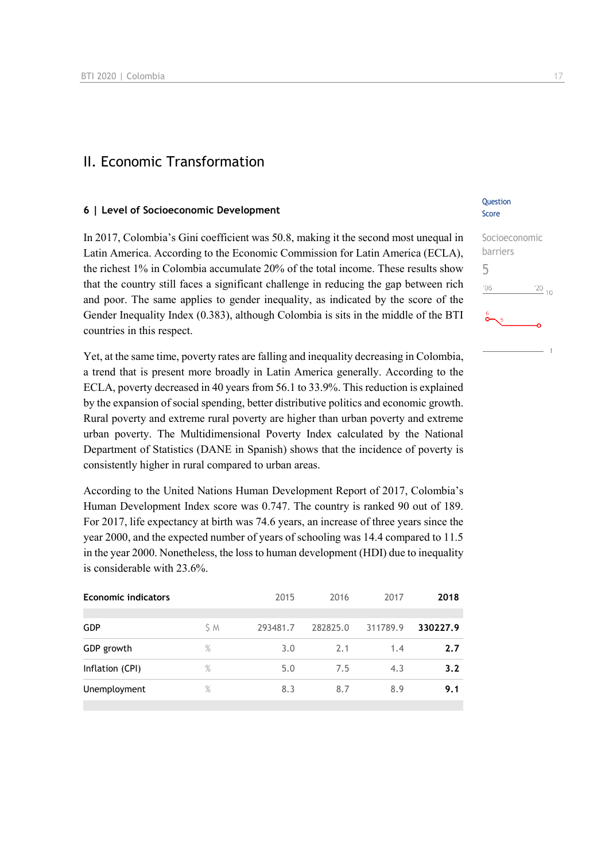### II. Economic Transformation

#### **6 | Level of Socioeconomic Development**

In 2017, Colombia's Gini coefficient was 50.8, making it the second most unequal in Latin America. According to the Economic Commission for Latin America (ECLA), the richest 1% in Colombia accumulate 20% of the total income. These results show that the country still faces a significant challenge in reducing the gap between rich and poor. The same applies to gender inequality, as indicated by the score of the Gender Inequality Index (0.383), although Colombia is sits in the middle of the BTI countries in this respect.

Yet, at the same time, poverty rates are falling and inequality decreasing in Colombia, a trend that is present more broadly in Latin America generally. According to the ECLA, poverty decreased in 40 years from 56.1 to 33.9%. This reduction is explained by the expansion of social spending, better distributive politics and economic growth. Rural poverty and extreme rural poverty are higher than urban poverty and extreme urban poverty. The Multidimensional Poverty Index calculated by the National Department of Statistics (DANE in Spanish) shows that the incidence of poverty is consistently higher in rural compared to urban areas.

According to the United Nations Human Development Report of 2017, Colombia's Human Development Index score was 0.747. The country is ranked 90 out of 189. For 2017, life expectancy at birth was 74.6 years, an increase of three years since the year 2000, and the expected number of years of schooling was 14.4 compared to 11.5 in the year 2000. Nonetheless, the loss to human development (HDI) due to inequality is considerable with 23.6%.

| <b>Economic indicators</b> |               | 2015     | 2016     | 2017     | 2018     |
|----------------------------|---------------|----------|----------|----------|----------|
| <b>GDP</b>                 | S M           | 293481.7 | 282825.0 | 311789.9 | 330227.9 |
| GDP growth                 | %             | 3.0      | 2.1      | 1.4      | 2.7      |
| Inflation (CPI)            | $\%$          | 5.0      | 7.5      | 4.3      | 3.2      |
| Unemployment               | $\frac{9}{6}$ | 8.3      | 8.7      | 8.9      | 9.1      |
|                            |               |          |          |          |          |

#### Question Score

| Socioeconomic |             |  |
|---------------|-------------|--|
| barriers      |             |  |
| 5             |             |  |
| '06           | $^{220}$ 10 |  |
| စိ<br>5       |             |  |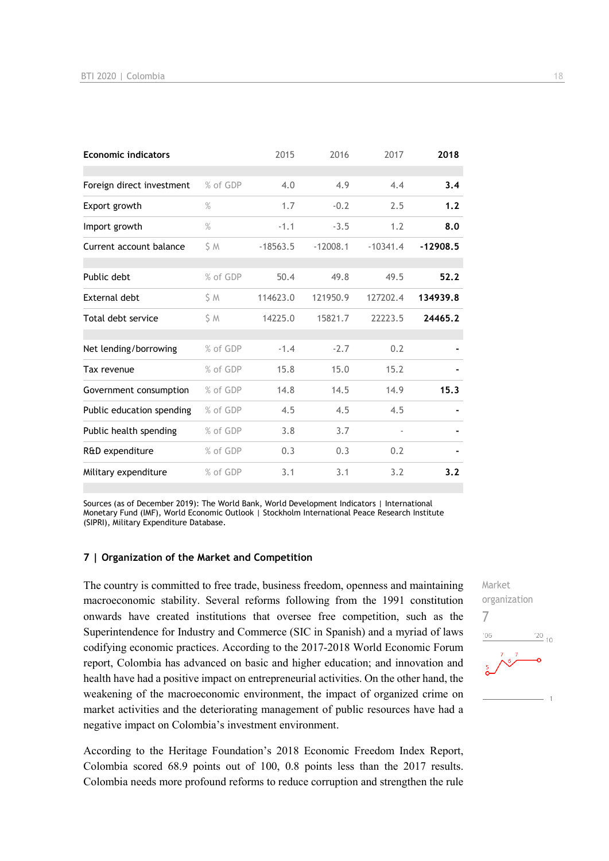| <b>Economic indicators</b> |          | 2015       | 2016       | 2017                     | 2018       |
|----------------------------|----------|------------|------------|--------------------------|------------|
|                            |          |            |            |                          |            |
| Foreign direct investment  | % of GDP | 4.0        | 4.9        | 4.4                      | 3.4        |
| Export growth              | $\%$     | 1.7        | $-0.2$     | 2.5                      | 1.2        |
| Import growth              | $\%$     | $-1.1$     | $-3.5$     | 1.2                      | 8.0        |
| Current account balance    | S M      | $-18563.5$ | $-12008.1$ | $-10341.4$               | $-12908.5$ |
| Public debt                | % of GDP | 50.4       | 49.8       | 49.5                     | 52.2       |
| External debt              | S M      | 114623.0   | 121950.9   | 127202.4                 | 134939.8   |
| Total debt service         | \$ M     | 14225.0    | 15821.7    | 22223.5                  | 24465.2    |
|                            |          |            |            |                          |            |
| Net lending/borrowing      | % of GDP | $-1.4$     | $-2.7$     | 0.2                      |            |
| Tax revenue                | % of GDP | 15.8       | 15.0       | 15.2                     |            |
| Government consumption     | % of GDP | 14.8       | 14.5       | 14.9                     | 15.3       |
| Public education spending  | % of GDP | 4.5        | 4.5        | 4.5                      |            |
| Public health spending     | % of GDP | 3.8        | 3.7        | $\overline{\phantom{a}}$ |            |
| R&D expenditure            | % of GDP | 0.3        | 0.3        | 0.2                      |            |
| Military expenditure       | % of GDP | 3.1        | 3.1        | 3.2                      | 3.2        |

Sources (as of December 2019): The World Bank, World Development Indicators | International Monetary Fund (IMF), World Economic Outlook | Stockholm International Peace Research Institute (SIPRI), Military Expenditure Database.

#### **7 | Organization of the Market and Competition**

The country is committed to free trade, business freedom, openness and maintaining macroeconomic stability. Several reforms following from the 1991 constitution onwards have created institutions that oversee free competition, such as the Superintendence for Industry and Commerce (SIC in Spanish) and a myriad of laws codifying economic practices. According to the 2017-2018 World Economic Forum report, Colombia has advanced on basic and higher education; and innovation and health have had a positive impact on entrepreneurial activities. On the other hand, the weakening of the macroeconomic environment, the impact of organized crime on market activities and the deteriorating management of public resources have had a negative impact on Colombia's investment environment.

According to the Heritage Foundation's 2018 Economic Freedom Index Report, Colombia scored 68.9 points out of 100, 0.8 points less than the 2017 results. Colombia needs more profound reforms to reduce corruption and strengthen the rule

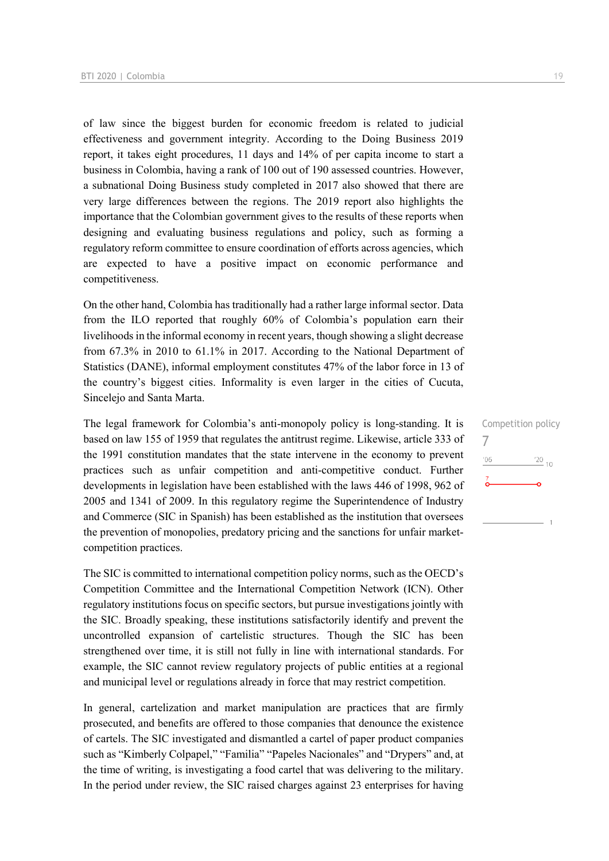of law since the biggest burden for economic freedom is related to judicial effectiveness and government integrity. According to the Doing Business 2019 report, it takes eight procedures, 11 days and 14% of per capita income to start a business in Colombia, having a rank of 100 out of 190 assessed countries. However, a subnational Doing Business study completed in 2017 also showed that there are very large differences between the regions. The 2019 report also highlights the importance that the Colombian government gives to the results of these reports when designing and evaluating business regulations and policy, such as forming a regulatory reform committee to ensure coordination of efforts across agencies, which are expected to have a positive impact on economic performance and competitiveness.

On the other hand, Colombia has traditionally had a rather large informal sector. Data from the ILO reported that roughly 60% of Colombia's population earn their livelihoods in the informal economy in recent years, though showing a slight decrease from 67.3% in 2010 to 61.1% in 2017. According to the National Department of Statistics (DANE), informal employment constitutes 47% of the labor force in 13 of the country's biggest cities. Informality is even larger in the cities of Cucuta, Sincelejo and Santa Marta.

The legal framework for Colombia's anti-monopoly policy is long-standing. It is based on law 155 of 1959 that regulates the antitrust regime. Likewise, article 333 of the 1991 constitution mandates that the state intervene in the economy to prevent practices such as unfair competition and anti-competitive conduct. Further developments in legislation have been established with the laws 446 of 1998, 962 of 2005 and 1341 of 2009. In this regulatory regime the Superintendence of Industry and Commerce (SIC in Spanish) has been established as the institution that oversees the prevention of monopolies, predatory pricing and the sanctions for unfair marketcompetition practices.

The SIC is committed to international competition policy norms, such as the OECD's Competition Committee and the International Competition Network (ICN). Other regulatory institutions focus on specific sectors, but pursue investigations jointly with the SIC. Broadly speaking, these institutions satisfactorily identify and prevent the uncontrolled expansion of cartelistic structures. Though the SIC has been strengthened over time, it is still not fully in line with international standards. For example, the SIC cannot review regulatory projects of public entities at a regional and municipal level or regulations already in force that may restrict competition.

In general, cartelization and market manipulation are practices that are firmly prosecuted, and benefits are offered to those companies that denounce the existence of cartels. The SIC investigated and dismantled a cartel of paper product companies such as "Kimberly Colpapel," "Familia" "Papeles Nacionales" and "Drypers" and, at the time of writing, is investigating a food cartel that was delivering to the military. In the period under review, the SIC raised charges against 23 enterprises for having Competition policy 7 $\frac{20}{10}$ '06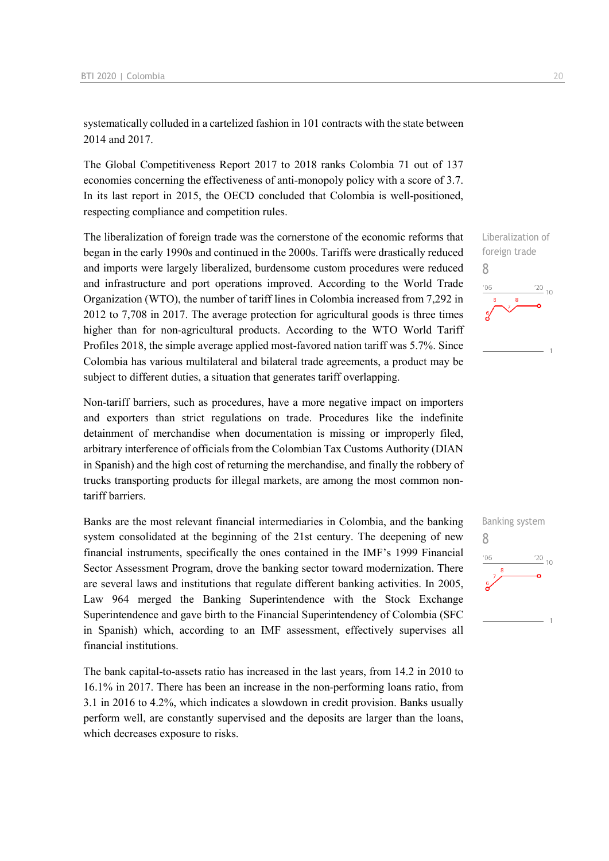systematically colluded in a cartelized fashion in 101 contracts with the state between 2014 and 2017.

The Global Competitiveness Report 2017 to 2018 ranks Colombia 71 out of 137 economies concerning the effectiveness of anti-monopoly policy with a score of 3.7. In its last report in 2015, the OECD concluded that Colombia is well-positioned, respecting compliance and competition rules.

The liberalization of foreign trade was the cornerstone of the economic reforms that began in the early 1990s and continued in the 2000s. Tariffs were drastically reduced and imports were largely liberalized, burdensome custom procedures were reduced and infrastructure and port operations improved. According to the World Trade Organization (WTO), the number of tariff lines in Colombia increased from 7,292 in 2012 to 7,708 in 2017. The average protection for agricultural goods is three times higher than for non-agricultural products. According to the WTO World Tariff Profiles 2018, the simple average applied most-favored nation tariff was 5.7%. Since Colombia has various multilateral and bilateral trade agreements, a product may be subject to different duties, a situation that generates tariff overlapping.

Non-tariff barriers, such as procedures, have a more negative impact on importers and exporters than strict regulations on trade. Procedures like the indefinite detainment of merchandise when documentation is missing or improperly filed, arbitrary interference of officials from the Colombian Tax Customs Authority (DIAN in Spanish) and the high cost of returning the merchandise, and finally the robbery of trucks transporting products for illegal markets, are among the most common nontariff barriers.

Banks are the most relevant financial intermediaries in Colombia, and the banking system consolidated at the beginning of the 21st century. The deepening of new financial instruments, specifically the ones contained in the IMF's 1999 Financial Sector Assessment Program, drove the banking sector toward modernization. There are several laws and institutions that regulate different banking activities. In 2005, Law 964 merged the Banking Superintendence with the Stock Exchange Superintendence and gave birth to the Financial Superintendency of Colombia (SFC in Spanish) which, according to an IMF assessment, effectively supervises all financial institutions.

The bank capital-to-assets ratio has increased in the last years, from 14.2 in 2010 to 16.1% in 2017. There has been an increase in the non-performing loans ratio, from 3.1 in 2016 to 4.2%, which indicates a slowdown in credit provision. Banks usually perform well, are constantly supervised and the deposits are larger than the loans, which decreases exposure to risks.

8

 $-06$ 

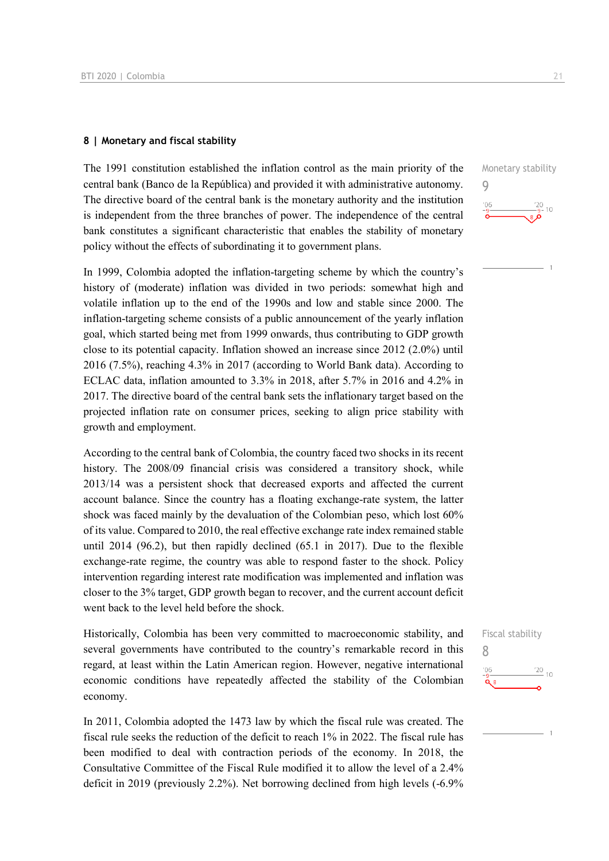#### **8 | Monetary and fiscal stability**

The 1991 constitution established the inflation control as the main priority of the central bank (Banco de la República) and provided it with administrative autonomy. The directive board of the central bank is the monetary authority and the institution is independent from the three branches of power. The independence of the central bank constitutes a significant characteristic that enables the stability of monetary policy without the effects of subordinating it to government plans.

In 1999, Colombia adopted the inflation-targeting scheme by which the country's history of (moderate) inflation was divided in two periods: somewhat high and volatile inflation up to the end of the 1990s and low and stable since 2000. The inflation-targeting scheme consists of a public announcement of the yearly inflation goal, which started being met from 1999 onwards, thus contributing to GDP growth close to its potential capacity. Inflation showed an increase since 2012 (2.0%) until 2016 (7.5%), reaching 4.3% in 2017 (according to World Bank data). According to ECLAC data, inflation amounted to 3.3% in 2018, after 5.7% in 2016 and 4.2% in 2017. The directive board of the central bank sets the inflationary target based on the projected inflation rate on consumer prices, seeking to align price stability with growth and employment.

According to the central bank of Colombia, the country faced two shocks in its recent history. The 2008/09 financial crisis was considered a transitory shock, while 2013/14 was a persistent shock that decreased exports and affected the current account balance. Since the country has a floating exchange-rate system, the latter shock was faced mainly by the devaluation of the Colombian peso, which lost 60% of its value. Compared to 2010, the real effective exchange rate index remained stable until 2014 (96.2), but then rapidly declined (65.1 in 2017). Due to the flexible exchange-rate regime, the country was able to respond faster to the shock. Policy intervention regarding interest rate modification was implemented and inflation was closer to the 3% target, GDP growth began to recover, and the current account deficit went back to the level held before the shock.

Historically, Colombia has been very committed to macroeconomic stability, and several governments have contributed to the country's remarkable record in this regard, at least within the Latin American region. However, negative international economic conditions have repeatedly affected the stability of the Colombian economy.

In 2011, Colombia adopted the 1473 law by which the fiscal rule was created. The fiscal rule seeks the reduction of the deficit to reach 1% in 2022. The fiscal rule has been modified to deal with contraction periods of the economy. In 2018, the Consultative Committee of the Fiscal Rule modified it to allow the level of a 2.4% deficit in 2019 (previously 2.2%). Net borrowing declined from high levels (-6.9% Monetary stability 9  $\frac{20}{9}$ - 10  $06'$ 

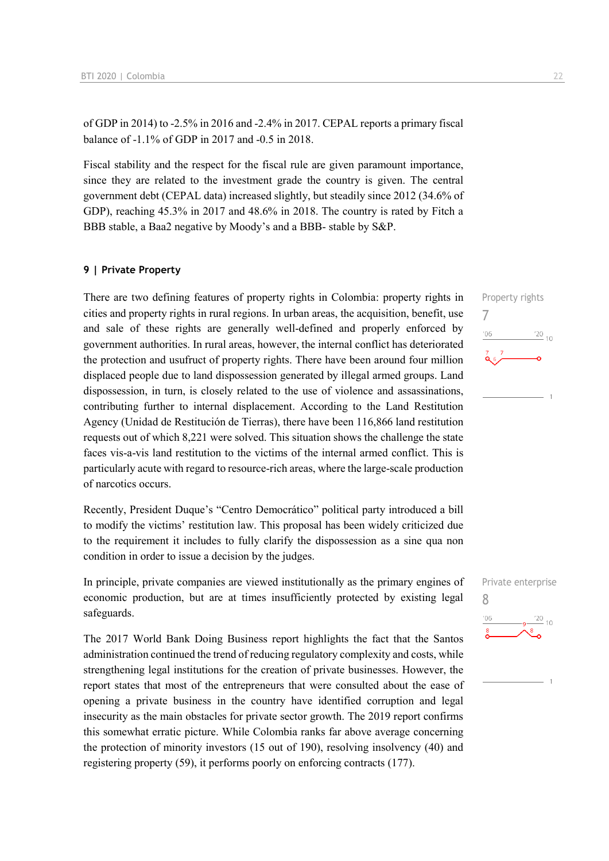of GDP in 2014) to -2.5% in 2016 and -2.4% in 2017. CEPAL reports a primary fiscal balance of -1.1% of GDP in 2017 and -0.5 in 2018.

Fiscal stability and the respect for the fiscal rule are given paramount importance, since they are related to the investment grade the country is given. The central government debt (CEPAL data) increased slightly, but steadily since 2012 (34.6% of GDP), reaching 45.3% in 2017 and 48.6% in 2018. The country is rated by Fitch a BBB stable, a Baa2 negative by Moody's and a BBB- stable by S&P.

#### **9 | Private Property**

There are two defining features of property rights in Colombia: property rights in cities and property rights in rural regions. In urban areas, the acquisition, benefit, use and sale of these rights are generally well-defined and properly enforced by government authorities. In rural areas, however, the internal conflict has deteriorated the protection and usufruct of property rights. There have been around four million displaced people due to land dispossession generated by illegal armed groups. Land dispossession, in turn, is closely related to the use of violence and assassinations, contributing further to internal displacement. According to the Land Restitution Agency (Unidad de Restitución de Tierras), there have been 116,866 land restitution requests out of which 8,221 were solved. This situation shows the challenge the state faces vis-a-vis land restitution to the victims of the internal armed conflict. This is particularly acute with regard to resource-rich areas, where the large-scale production of narcotics occurs.

Recently, President Duque's "Centro Democrático" political party introduced a bill to modify the victims' restitution law. This proposal has been widely criticized due to the requirement it includes to fully clarify the dispossession as a sine qua non condition in order to issue a decision by the judges.

In principle, private companies are viewed institutionally as the primary engines of economic production, but are at times insufficiently protected by existing legal safeguards.

The 2017 World Bank Doing Business report highlights the fact that the Santos administration continued the trend of reducing regulatory complexity and costs, while strengthening legal institutions for the creation of private businesses. However, the report states that most of the entrepreneurs that were consulted about the ease of opening a private business in the country have identified corruption and legal insecurity as the main obstacles for private sector growth. The 2019 report confirms this somewhat erratic picture. While Colombia ranks far above average concerning the protection of minority investors (15 out of 190), resolving insolvency (40) and registering property (59), it performs poorly on enforcing contracts (177).



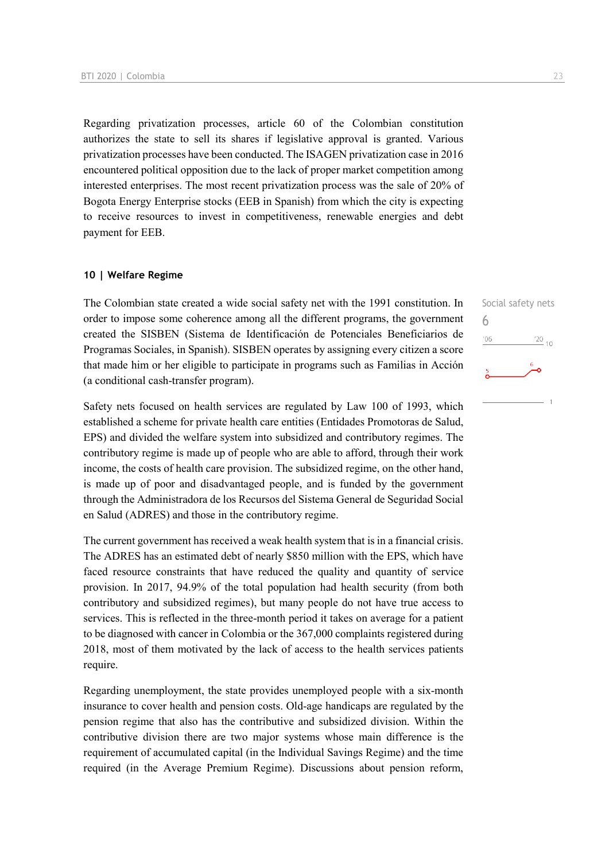Regarding privatization processes, article 60 of the Colombian constitution authorizes the state to sell its shares if legislative approval is granted. Various privatization processes have been conducted. The ISAGEN privatization case in 2016 encountered political opposition due to the lack of proper market competition among interested enterprises. The most recent privatization process was the sale of 20% of Bogota Energy Enterprise stocks (EEB in Spanish) from which the city is expecting to receive resources to invest in competitiveness, renewable energies and debt payment for EEB.

#### **10 | Welfare Regime**

The Colombian state created a wide social safety net with the 1991 constitution. In order to impose some coherence among all the different programs, the government created the SISBEN (Sistema de Identificación de Potenciales Beneficiarios de Programas Sociales, in Spanish). SISBEN operates by assigning every citizen a score that made him or her eligible to participate in programs such as Familias in Acción (a conditional cash-transfer program).

Safety nets focused on health services are regulated by Law 100 of 1993, which established a scheme for private health care entities (Entidades Promotoras de Salud, EPS) and divided the welfare system into subsidized and contributory regimes. The contributory regime is made up of people who are able to afford, through their work income, the costs of health care provision. The subsidized regime, on the other hand, is made up of poor and disadvantaged people, and is funded by the government through the Administradora de los Recursos del Sistema General de Seguridad Social en Salud (ADRES) and those in the contributory regime.

The current government has received a weak health system that is in a financial crisis. The ADRES has an estimated debt of nearly \$850 million with the EPS, which have faced resource constraints that have reduced the quality and quantity of service provision. In 2017, 94.9% of the total population had health security (from both contributory and subsidized regimes), but many people do not have true access to services. This is reflected in the three-month period it takes on average for a patient to be diagnosed with cancer in Colombia or the 367,000 complaints registered during 2018, most of them motivated by the lack of access to the health services patients require.

Regarding unemployment, the state provides unemployed people with a six-month insurance to cover health and pension costs. Old-age handicaps are regulated by the pension regime that also has the contributive and subsidized division. Within the contributive division there are two major systems whose main difference is the requirement of accumulated capital (in the Individual Savings Regime) and the time required (in the Average Premium Regime). Discussions about pension reform, Social safety nets

 $\frac{20}{10}$ 

6

 $'06$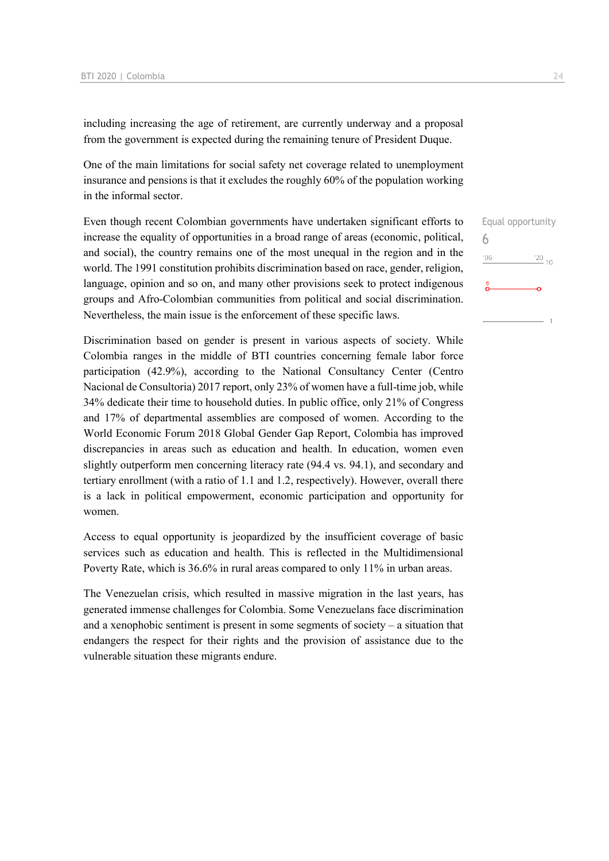including increasing the age of retirement, are currently underway and a proposal from the government is expected during the remaining tenure of President Duque.

One of the main limitations for social safety net coverage related to unemployment insurance and pensions is that it excludes the roughly 60% of the population working in the informal sector.

Even though recent Colombian governments have undertaken significant efforts to increase the equality of opportunities in a broad range of areas (economic, political, and social), the country remains one of the most unequal in the region and in the world. The 1991 constitution prohibits discrimination based on race, gender, religion, language, opinion and so on, and many other provisions seek to protect indigenous groups and Afro-Colombian communities from political and social discrimination. Nevertheless, the main issue is the enforcement of these specific laws.

Discrimination based on gender is present in various aspects of society. While Colombia ranges in the middle of BTI countries concerning female labor force participation (42.9%), according to the National Consultancy Center (Centro Nacional de Consultoria) 2017 report, only 23% of women have a full-time job, while 34% dedicate their time to household duties. In public office, only 21% of Congress and 17% of departmental assemblies are composed of women. According to the World Economic Forum 2018 Global Gender Gap Report, Colombia has improved discrepancies in areas such as education and health. In education, women even slightly outperform men concerning literacy rate (94.4 vs. 94.1), and secondary and tertiary enrollment (with a ratio of 1.1 and 1.2, respectively). However, overall there is a lack in political empowerment, economic participation and opportunity for women.

Access to equal opportunity is jeopardized by the insufficient coverage of basic services such as education and health. This is reflected in the Multidimensional Poverty Rate, which is 36.6% in rural areas compared to only 11% in urban areas.

The Venezuelan crisis, which resulted in massive migration in the last years, has generated immense challenges for Colombia. Some Venezuelans face discrimination and a xenophobic sentiment is present in some segments of society – a situation that endangers the respect for their rights and the provision of assistance due to the vulnerable situation these migrants endure.

Equal opportunity 6 $\frac{20}{10}$  $06'$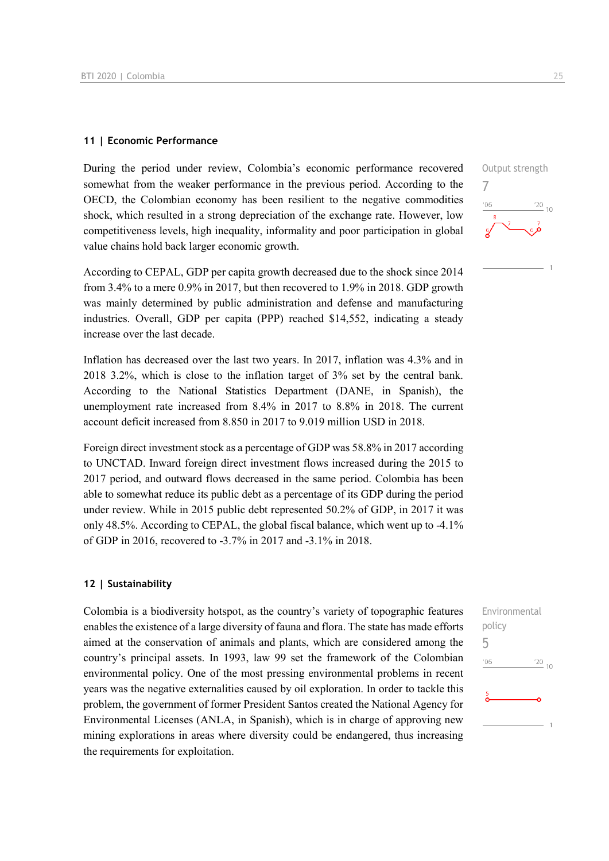#### **11 | Economic Performance**

During the period under review, Colombia's economic performance recovered somewhat from the weaker performance in the previous period. According to the OECD, the Colombian economy has been resilient to the negative commodities shock, which resulted in a strong depreciation of the exchange rate. However, low competitiveness levels, high inequality, informality and poor participation in global value chains hold back larger economic growth.

According to CEPAL, GDP per capita growth decreased due to the shock since 2014 from 3.4% to a mere 0.9% in 2017, but then recovered to 1.9% in 2018. GDP growth was mainly determined by public administration and defense and manufacturing industries. Overall, GDP per capita (PPP) reached \$14,552, indicating a steady increase over the last decade.

Inflation has decreased over the last two years. In 2017, inflation was 4.3% and in 2018 3.2%, which is close to the inflation target of 3% set by the central bank. According to the National Statistics Department (DANE, in Spanish), the unemployment rate increased from 8.4% in 2017 to 8.8% in 2018. The current account deficit increased from 8.850 in 2017 to 9.019 million USD in 2018.

Foreign direct investment stock as a percentage of GDP was 58.8% in 2017 according to UNCTAD. Inward foreign direct investment flows increased during the 2015 to 2017 period, and outward flows decreased in the same period. Colombia has been able to somewhat reduce its public debt as a percentage of its GDP during the period under review. While in 2015 public debt represented 50.2% of GDP, in 2017 it was only 48.5%. According to CEPAL, the global fiscal balance, which went up to -4.1% of GDP in 2016, recovered to -3.7% in 2017 and -3.1% in 2018.

#### **12 | Sustainability**

Colombia is a biodiversity hotspot, as the country's variety of topographic features enables the existence of a large diversity of fauna and flora. The state has made efforts aimed at the conservation of animals and plants, which are considered among the country's principal assets. In 1993, law 99 set the framework of the Colombian environmental policy. One of the most pressing environmental problems in recent years was the negative externalities caused by oil exploration. In order to tackle this problem, the government of former President Santos created the National Agency for Environmental Licenses (ANLA, in Spanish), which is in charge of approving new mining explorations in areas where diversity could be endangered, thus increasing the requirements for exploitation.



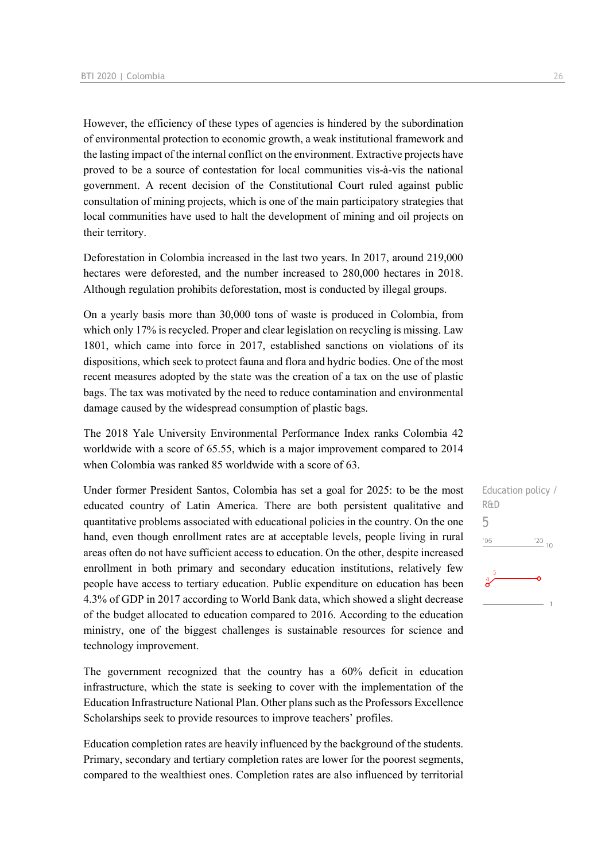However, the efficiency of these types of agencies is hindered by the subordination of environmental protection to economic growth, a weak institutional framework and the lasting impact of the internal conflict on the environment. Extractive projects have proved to be a source of contestation for local communities vis-à-vis the national government. A recent decision of the Constitutional Court ruled against public consultation of mining projects, which is one of the main participatory strategies that local communities have used to halt the development of mining and oil projects on their territory.

Deforestation in Colombia increased in the last two years. In 2017, around 219,000 hectares were deforested, and the number increased to 280,000 hectares in 2018. Although regulation prohibits deforestation, most is conducted by illegal groups.

On a yearly basis more than 30,000 tons of waste is produced in Colombia, from which only 17% is recycled. Proper and clear legislation on recycling is missing. Law 1801, which came into force in 2017, established sanctions on violations of its dispositions, which seek to protect fauna and flora and hydric bodies. One of the most recent measures adopted by the state was the creation of a tax on the use of plastic bags. The tax was motivated by the need to reduce contamination and environmental damage caused by the widespread consumption of plastic bags.

The 2018 Yale University Environmental Performance Index ranks Colombia 42 worldwide with a score of 65.55, which is a major improvement compared to 2014 when Colombia was ranked 85 worldwide with a score of 63.

Under former President Santos, Colombia has set a goal for 2025: to be the most educated country of Latin America. There are both persistent qualitative and quantitative problems associated with educational policies in the country. On the one hand, even though enrollment rates are at acceptable levels, people living in rural areas often do not have sufficient access to education. On the other, despite increased enrollment in both primary and secondary education institutions, relatively few people have access to tertiary education. Public expenditure on education has been 4.3% of GDP in 2017 according to World Bank data, which showed a slight decrease of the budget allocated to education compared to 2016. According to the education ministry, one of the biggest challenges is sustainable resources for science and technology improvement.

The government recognized that the country has a 60% deficit in education infrastructure, which the state is seeking to cover with the implementation of the Education Infrastructure National Plan. Other plans such as the Professors Excellence Scholarships seek to provide resources to improve teachers' profiles.

Education completion rates are heavily influenced by the background of the students. Primary, secondary and tertiary completion rates are lower for the poorest segments, compared to the wealthiest ones. Completion rates are also influenced by territorial Education policy / R&D 5 $06$  $\frac{20}{10}$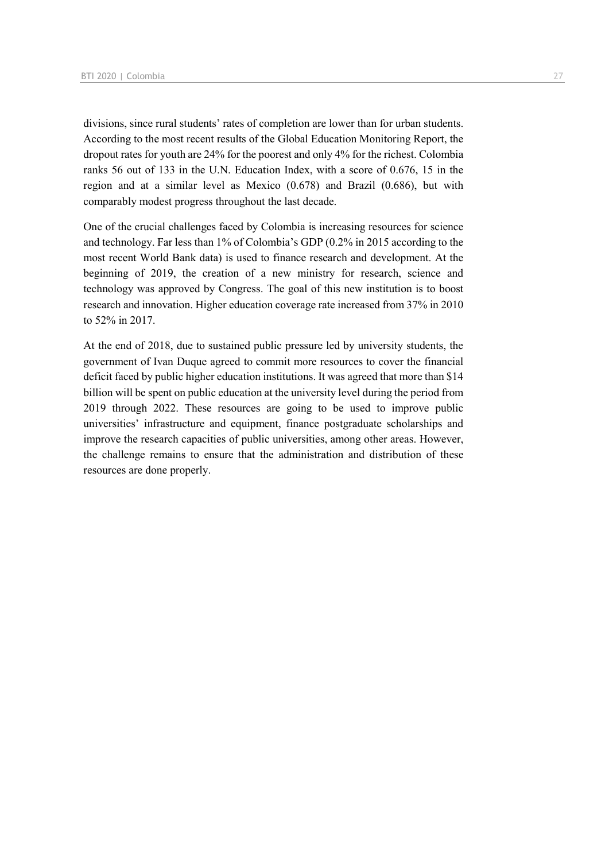divisions, since rural students' rates of completion are lower than for urban students. According to the most recent results of the Global Education Monitoring Report, the dropout rates for youth are 24% for the poorest and only 4% for the richest. Colombia ranks 56 out of 133 in the U.N. Education Index, with a score of 0.676, 15 in the region and at a similar level as Mexico (0.678) and Brazil (0.686), but with comparably modest progress throughout the last decade.

One of the crucial challenges faced by Colombia is increasing resources for science and technology. Far less than 1% of Colombia's GDP (0.2% in 2015 according to the most recent World Bank data) is used to finance research and development. At the beginning of 2019, the creation of a new ministry for research, science and technology was approved by Congress. The goal of this new institution is to boost research and innovation. Higher education coverage rate increased from 37% in 2010 to 52% in 2017.

At the end of 2018, due to sustained public pressure led by university students, the government of Ivan Duque agreed to commit more resources to cover the financial deficit faced by public higher education institutions. It was agreed that more than \$14 billion will be spent on public education at the university level during the period from 2019 through 2022. These resources are going to be used to improve public universities' infrastructure and equipment, finance postgraduate scholarships and improve the research capacities of public universities, among other areas. However, the challenge remains to ensure that the administration and distribution of these resources are done properly.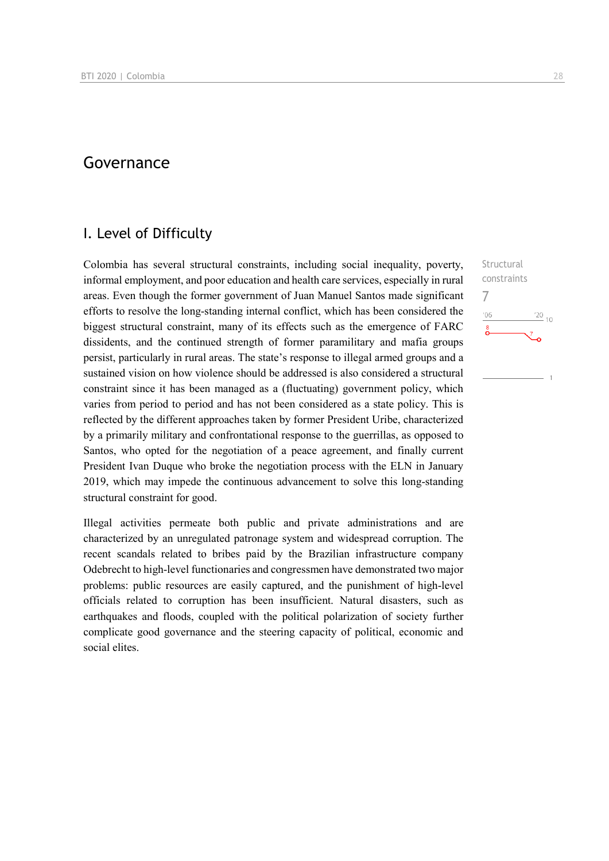## Governance

## I. Level of Difficulty

Colombia has several structural constraints, including social inequality, poverty, informal employment, and poor education and health care services, especially in rural areas. Even though the former government of Juan Manuel Santos made significant efforts to resolve the long-standing internal conflict, which has been considered the biggest structural constraint, many of its effects such as the emergence of FARC dissidents, and the continued strength of former paramilitary and mafia groups persist, particularly in rural areas. The state's response to illegal armed groups and a sustained vision on how violence should be addressed is also considered a structural constraint since it has been managed as a (fluctuating) government policy, which varies from period to period and has not been considered as a state policy. This is reflected by the different approaches taken by former President Uribe, characterized by a primarily military and confrontational response to the guerrillas, as opposed to Santos, who opted for the negotiation of a peace agreement, and finally current President Ivan Duque who broke the negotiation process with the ELN in January 2019, which may impede the continuous advancement to solve this long-standing structural constraint for good.

Illegal activities permeate both public and private administrations and are characterized by an unregulated patronage system and widespread corruption. The recent scandals related to bribes paid by the Brazilian infrastructure company Odebrecht to high-level functionaries and congressmen have demonstrated two major problems: public resources are easily captured, and the punishment of high-level officials related to corruption has been insufficient. Natural disasters, such as earthquakes and floods, coupled with the political polarization of society further complicate good governance and the steering capacity of political, economic and social elites.

**Structural** constraints 7 $\frac{20}{10}$ ng.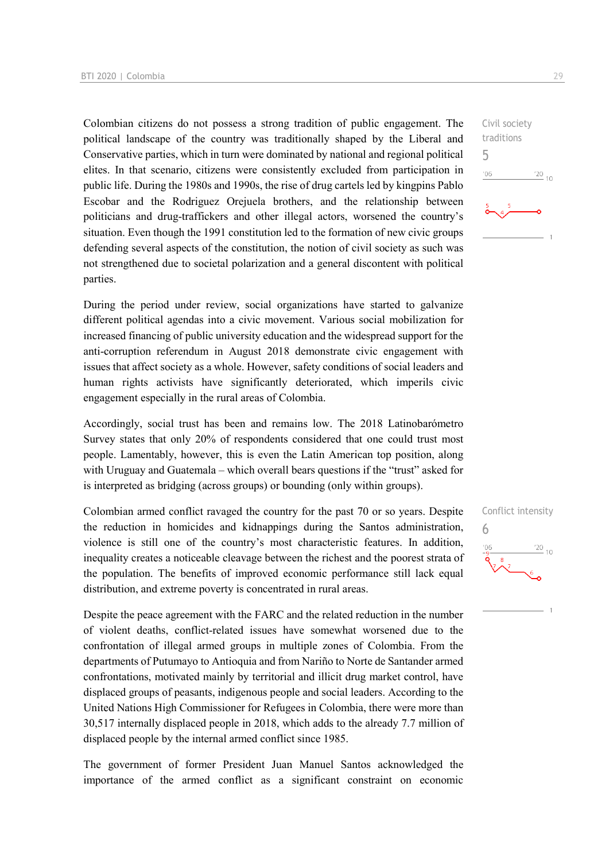Colombian citizens do not possess a strong tradition of public engagement. The political landscape of the country was traditionally shaped by the Liberal and Conservative parties, which in turn were dominated by national and regional political elites. In that scenario, citizens were consistently excluded from participation in public life. During the 1980s and 1990s, the rise of drug cartels led by kingpins Pablo Escobar and the Rodriguez Orejuela brothers, and the relationship between politicians and drug-traffickers and other illegal actors, worsened the country's situation. Even though the 1991 constitution led to the formation of new civic groups defending several aspects of the constitution, the notion of civil society as such was not strengthened due to societal polarization and a general discontent with political parties.

During the period under review, social organizations have started to galvanize different political agendas into a civic movement. Various social mobilization for increased financing of public university education and the widespread support for the anti-corruption referendum in August 2018 demonstrate civic engagement with issues that affect society as a whole. However, safety conditions of social leaders and human rights activists have significantly deteriorated, which imperils civic engagement especially in the rural areas of Colombia.

Accordingly, social trust has been and remains low. The 2018 Latinobarómetro Survey states that only 20% of respondents considered that one could trust most people. Lamentably, however, this is even the Latin American top position, along with Uruguay and Guatemala – which overall bears questions if the "trust" asked for is interpreted as bridging (across groups) or bounding (only within groups).

Colombian armed conflict ravaged the country for the past 70 or so years. Despite the reduction in homicides and kidnappings during the Santos administration, violence is still one of the country's most characteristic features. In addition, inequality creates a noticeable cleavage between the richest and the poorest strata of the population. The benefits of improved economic performance still lack equal distribution, and extreme poverty is concentrated in rural areas.

Despite the peace agreement with the FARC and the related reduction in the number of violent deaths, conflict-related issues have somewhat worsened due to the confrontation of illegal armed groups in multiple zones of Colombia. From the departments of Putumayo to Antioquia and from Nariño to Norte de Santander armed confrontations, motivated mainly by territorial and illicit drug market control, have displaced groups of peasants, indigenous people and social leaders. According to the United Nations High Commissioner for Refugees in Colombia, there were more than 30,517 internally displaced people in 2018, which adds to the already 7.7 million of displaced people by the internal armed conflict since 1985.

The government of former President Juan Manuel Santos acknowledged the importance of the armed conflict as a significant constraint on economic



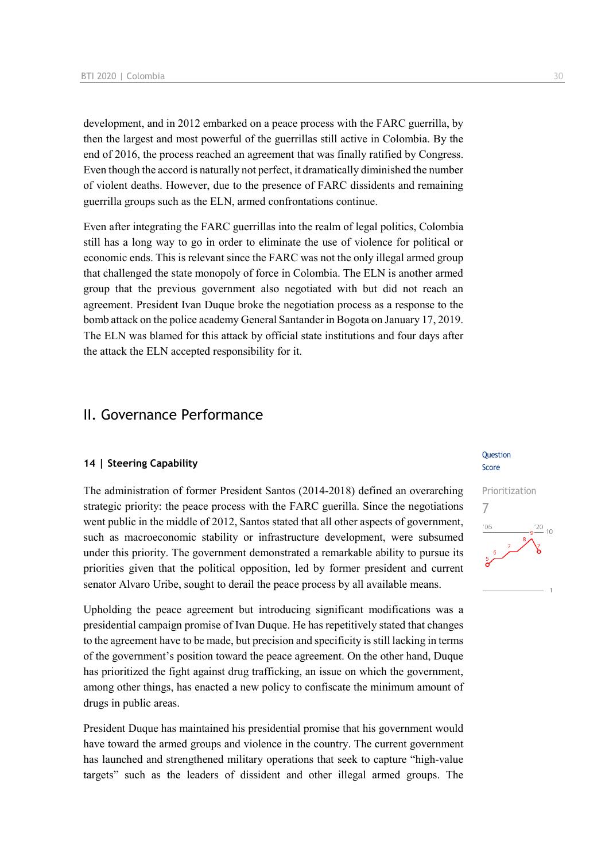development, and in 2012 embarked on a peace process with the FARC guerrilla, by then the largest and most powerful of the guerrillas still active in Colombia. By the end of 2016, the process reached an agreement that was finally ratified by Congress. Even though the accord is naturally not perfect, it dramatically diminished the number of violent deaths. However, due to the presence of FARC dissidents and remaining guerrilla groups such as the ELN, armed confrontations continue.

Even after integrating the FARC guerrillas into the realm of legal politics, Colombia still has a long way to go in order to eliminate the use of violence for political or economic ends. This is relevant since the FARC was not the only illegal armed group that challenged the state monopoly of force in Colombia. The ELN is another armed group that the previous government also negotiated with but did not reach an agreement. President Ivan Duque broke the negotiation process as a response to the bomb attack on the police academy General Santander in Bogota on January 17, 2019. The ELN was blamed for this attack by official state institutions and four days after the attack the ELN accepted responsibility for it.

## II. Governance Performance

#### **14 | Steering Capability**

The administration of former President Santos (2014-2018) defined an overarching strategic priority: the peace process with the FARC guerilla. Since the negotiations went public in the middle of 2012, Santos stated that all other aspects of government, such as macroeconomic stability or infrastructure development, were subsumed under this priority. The government demonstrated a remarkable ability to pursue its priorities given that the political opposition, led by former president and current senator Alvaro Uribe, sought to derail the peace process by all available means.

Upholding the peace agreement but introducing significant modifications was a presidential campaign promise of Ivan Duque. He has repetitively stated that changes to the agreement have to be made, but precision and specificity is still lacking in terms of the government's position toward the peace agreement. On the other hand, Duque has prioritized the fight against drug trafficking, an issue on which the government, among other things, has enacted a new policy to confiscate the minimum amount of drugs in public areas.

President Duque has maintained his presidential promise that his government would have toward the armed groups and violence in the country. The current government has launched and strengthened military operations that seek to capture "high-value targets" such as the leaders of dissident and other illegal armed groups. The

#### **Question** Score

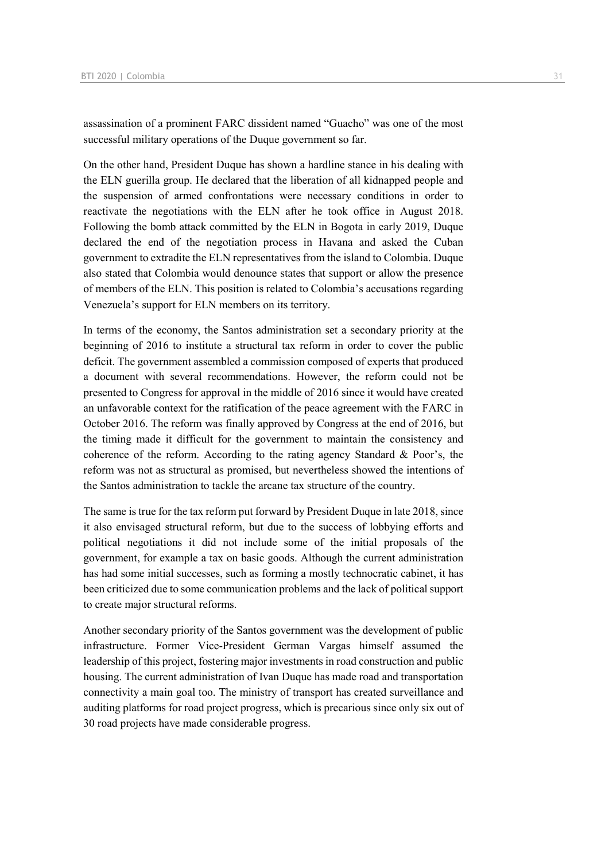assassination of a prominent FARC dissident named "Guacho" was one of the most successful military operations of the Duque government so far.

On the other hand, President Duque has shown a hardline stance in his dealing with the ELN guerilla group. He declared that the liberation of all kidnapped people and the suspension of armed confrontations were necessary conditions in order to reactivate the negotiations with the ELN after he took office in August 2018. Following the bomb attack committed by the ELN in Bogota in early 2019, Duque declared the end of the negotiation process in Havana and asked the Cuban government to extradite the ELN representatives from the island to Colombia. Duque also stated that Colombia would denounce states that support or allow the presence of members of the ELN. This position is related to Colombia's accusations regarding Venezuela's support for ELN members on its territory.

In terms of the economy, the Santos administration set a secondary priority at the beginning of 2016 to institute a structural tax reform in order to cover the public deficit. The government assembled a commission composed of experts that produced a document with several recommendations. However, the reform could not be presented to Congress for approval in the middle of 2016 since it would have created an unfavorable context for the ratification of the peace agreement with the FARC in October 2016. The reform was finally approved by Congress at the end of 2016, but the timing made it difficult for the government to maintain the consistency and coherence of the reform. According to the rating agency Standard & Poor's, the reform was not as structural as promised, but nevertheless showed the intentions of the Santos administration to tackle the arcane tax structure of the country.

The same is true for the tax reform put forward by President Duque in late 2018, since it also envisaged structural reform, but due to the success of lobbying efforts and political negotiations it did not include some of the initial proposals of the government, for example a tax on basic goods. Although the current administration has had some initial successes, such as forming a mostly technocratic cabinet, it has been criticized due to some communication problems and the lack of political support to create major structural reforms.

Another secondary priority of the Santos government was the development of public infrastructure. Former Vice-President German Vargas himself assumed the leadership of this project, fostering major investments in road construction and public housing. The current administration of Ivan Duque has made road and transportation connectivity a main goal too. The ministry of transport has created surveillance and auditing platforms for road project progress, which is precarious since only six out of 30 road projects have made considerable progress.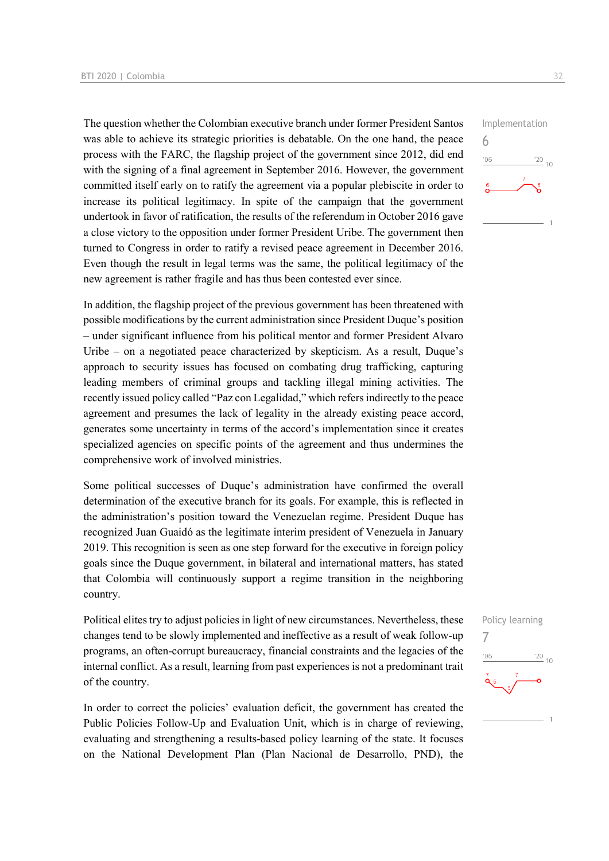The question whether the Colombian executive branch under former President Santos was able to achieve its strategic priorities is debatable. On the one hand, the peace process with the FARC, the flagship project of the government since 2012, did end with the signing of a final agreement in September 2016. However, the government committed itself early on to ratify the agreement via a popular plebiscite in order to increase its political legitimacy. In spite of the campaign that the government undertook in favor of ratification, the results of the referendum in October 2016 gave a close victory to the opposition under former President Uribe. The government then turned to Congress in order to ratify a revised peace agreement in December 2016. Even though the result in legal terms was the same, the political legitimacy of the new agreement is rather fragile and has thus been contested ever since.

In addition, the flagship project of the previous government has been threatened with possible modifications by the current administration since President Duque's position – under significant influence from his political mentor and former President Alvaro Uribe – on a negotiated peace characterized by skepticism. As a result, Duque's approach to security issues has focused on combating drug trafficking, capturing leading members of criminal groups and tackling illegal mining activities. The recently issued policy called "Paz con Legalidad," which refers indirectly to the peace agreement and presumes the lack of legality in the already existing peace accord, generates some uncertainty in terms of the accord's implementation since it creates specialized agencies on specific points of the agreement and thus undermines the comprehensive work of involved ministries.

Some political successes of Duque's administration have confirmed the overall determination of the executive branch for its goals. For example, this is reflected in the administration's position toward the Venezuelan regime. President Duque has recognized Juan Guaidó as the legitimate interim president of Venezuela in January 2019. This recognition is seen as one step forward for the executive in foreign policy goals since the Duque government, in bilateral and international matters, has stated that Colombia will continuously support a regime transition in the neighboring country.

Political elites try to adjust policies in light of new circumstances. Nevertheless, these changes tend to be slowly implemented and ineffective as a result of weak follow-up programs, an often-corrupt bureaucracy, financial constraints and the legacies of the internal conflict. As a result, learning from past experiences is not a predominant trait of the country.

In order to correct the policies' evaluation deficit, the government has created the Public Policies Follow-Up and Evaluation Unit, which is in charge of reviewing, evaluating and strengthening a results-based policy learning of the state. It focuses on the National Development Plan (Plan Nacional de Desarrollo, PND), the



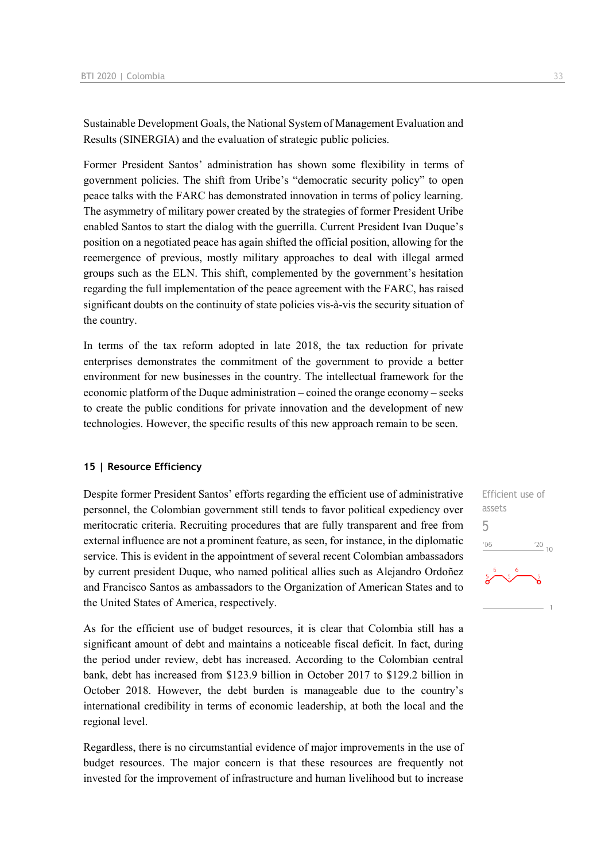Sustainable Development Goals, the National System of Management Evaluation and Results (SINERGIA) and the evaluation of strategic public policies.

Former President Santos' administration has shown some flexibility in terms of government policies. The shift from Uribe's "democratic security policy" to open peace talks with the FARC has demonstrated innovation in terms of policy learning. The asymmetry of military power created by the strategies of former President Uribe enabled Santos to start the dialog with the guerrilla. Current President Ivan Duque's position on a negotiated peace has again shifted the official position, allowing for the reemergence of previous, mostly military approaches to deal with illegal armed groups such as the ELN. This shift, complemented by the government's hesitation regarding the full implementation of the peace agreement with the FARC, has raised significant doubts on the continuity of state policies vis-à-vis the security situation of the country.

In terms of the tax reform adopted in late 2018, the tax reduction for private enterprises demonstrates the commitment of the government to provide a better environment for new businesses in the country. The intellectual framework for the economic platform of the Duque administration – coined the orange economy – seeks to create the public conditions for private innovation and the development of new technologies. However, the specific results of this new approach remain to be seen.

#### **15 | Resource Efficiency**

Despite former President Santos' efforts regarding the efficient use of administrative personnel, the Colombian government still tends to favor political expediency over meritocratic criteria. Recruiting procedures that are fully transparent and free from external influence are not a prominent feature, as seen, for instance, in the diplomatic service. This is evident in the appointment of several recent Colombian ambassadors by current president Duque, who named political allies such as Alejandro Ordoñez and Francisco Santos as ambassadors to the Organization of American States and to the United States of America, respectively.

As for the efficient use of budget resources, it is clear that Colombia still has a significant amount of debt and maintains a noticeable fiscal deficit. In fact, during the period under review, debt has increased. According to the Colombian central bank, debt has increased from \$123.9 billion in October 2017 to \$129.2 billion in October 2018. However, the debt burden is manageable due to the country's international credibility in terms of economic leadership, at both the local and the regional level.

Regardless, there is no circumstantial evidence of major improvements in the use of budget resources. The major concern is that these resources are frequently not invested for the improvement of infrastructure and human livelihood but to increase

Efficient use of assets 5 $\frac{20}{10}$  $06$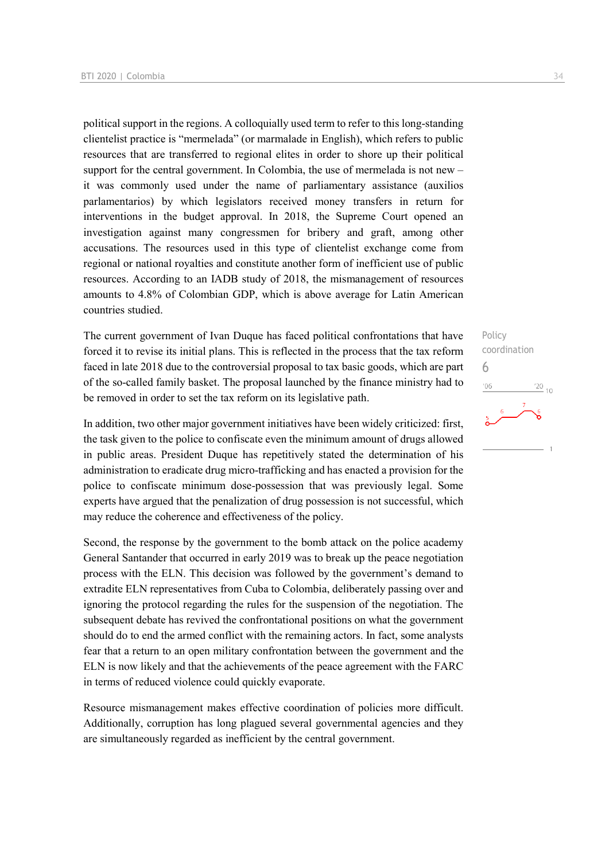political support in the regions. A colloquially used term to refer to this long-standing clientelist practice is "mermelada" (or marmalade in English), which refers to public resources that are transferred to regional elites in order to shore up their political support for the central government. In Colombia, the use of mermelada is not new – it was commonly used under the name of parliamentary assistance (auxilios parlamentarios) by which legislators received money transfers in return for interventions in the budget approval. In 2018, the Supreme Court opened an investigation against many congressmen for bribery and graft, among other accusations. The resources used in this type of clientelist exchange come from regional or national royalties and constitute another form of inefficient use of public resources. According to an IADB study of 2018, the mismanagement of resources amounts to 4.8% of Colombian GDP, which is above average for Latin American countries studied.

The current government of Ivan Duque has faced political confrontations that have forced it to revise its initial plans. This is reflected in the process that the tax reform faced in late 2018 due to the controversial proposal to tax basic goods, which are part of the so-called family basket. The proposal launched by the finance ministry had to be removed in order to set the tax reform on its legislative path.

In addition, two other major government initiatives have been widely criticized: first, the task given to the police to confiscate even the minimum amount of drugs allowed in public areas. President Duque has repetitively stated the determination of his administration to eradicate drug micro-trafficking and has enacted a provision for the police to confiscate minimum dose-possession that was previously legal. Some experts have argued that the penalization of drug possession is not successful, which may reduce the coherence and effectiveness of the policy.

Second, the response by the government to the bomb attack on the police academy General Santander that occurred in early 2019 was to break up the peace negotiation process with the ELN. This decision was followed by the government's demand to extradite ELN representatives from Cuba to Colombia, deliberately passing over and ignoring the protocol regarding the rules for the suspension of the negotiation. The subsequent debate has revived the confrontational positions on what the government should do to end the armed conflict with the remaining actors. In fact, some analysts fear that a return to an open military confrontation between the government and the ELN is now likely and that the achievements of the peace agreement with the FARC in terms of reduced violence could quickly evaporate.

Resource mismanagement makes effective coordination of policies more difficult. Additionally, corruption has long plagued several governmental agencies and they are simultaneously regarded as inefficient by the central government.

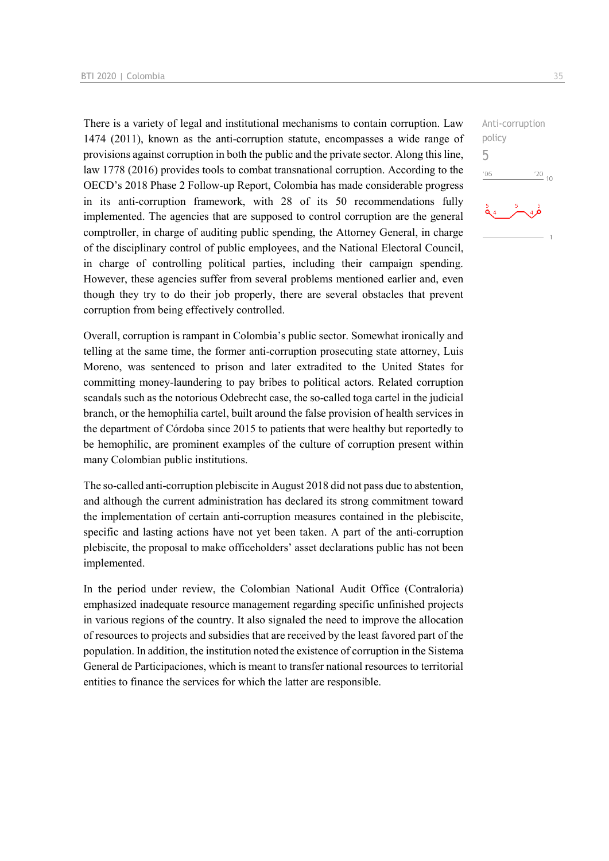There is a variety of legal and institutional mechanisms to contain corruption. Law 1474 (2011), known as the anti-corruption statute, encompasses a wide range of provisions against corruption in both the public and the private sector. Along this line, law 1778 (2016) provides tools to combat transnational corruption. According to the OECD's 2018 Phase 2 Follow-up Report, Colombia has made considerable progress in its anti-corruption framework, with 28 of its 50 recommendations fully implemented. The agencies that are supposed to control corruption are the general comptroller, in charge of auditing public spending, the Attorney General, in charge of the disciplinary control of public employees, and the National Electoral Council, in charge of controlling political parties, including their campaign spending. However, these agencies suffer from several problems mentioned earlier and, even though they try to do their job properly, there are several obstacles that prevent corruption from being effectively controlled.

Overall, corruption is rampant in Colombia's public sector. Somewhat ironically and telling at the same time, the former anti-corruption prosecuting state attorney, Luis Moreno, was sentenced to prison and later extradited to the United States for committing money-laundering to pay bribes to political actors. Related corruption scandals such as the notorious Odebrecht case, the so-called toga cartel in the judicial branch, or the hemophilia cartel, built around the false provision of health services in the department of Córdoba since 2015 to patients that were healthy but reportedly to be hemophilic, are prominent examples of the culture of corruption present within many Colombian public institutions.

The so-called anti-corruption plebiscite in August 2018 did not pass due to abstention, and although the current administration has declared its strong commitment toward the implementation of certain anti-corruption measures contained in the plebiscite, specific and lasting actions have not yet been taken. A part of the anti-corruption plebiscite, the proposal to make officeholders' asset declarations public has not been implemented.

In the period under review, the Colombian National Audit Office (Contraloria) emphasized inadequate resource management regarding specific unfinished projects in various regions of the country. It also signaled the need to improve the allocation of resources to projects and subsidies that are received by the least favored part of the population. In addition, the institution noted the existence of corruption in the Sistema General de Participaciones, which is meant to transfer national resources to territorial entities to finance the services for which the latter are responsible.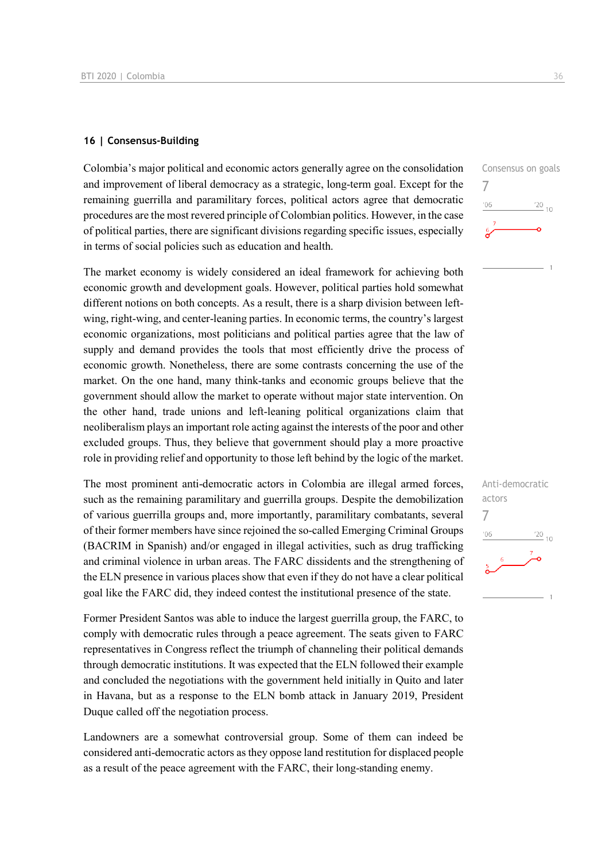#### **16 | Consensus-Building**

Colombia's major political and economic actors generally agree on the consolidation and improvement of liberal democracy as a strategic, long-term goal. Except for the remaining guerrilla and paramilitary forces, political actors agree that democratic procedures are the most revered principle of Colombian politics. However, in the case of political parties, there are significant divisions regarding specific issues, especially in terms of social policies such as education and health.

The market economy is widely considered an ideal framework for achieving both economic growth and development goals. However, political parties hold somewhat different notions on both concepts. As a result, there is a sharp division between leftwing, right-wing, and center-leaning parties. In economic terms, the country's largest economic organizations, most politicians and political parties agree that the law of supply and demand provides the tools that most efficiently drive the process of economic growth. Nonetheless, there are some contrasts concerning the use of the market. On the one hand, many think-tanks and economic groups believe that the government should allow the market to operate without major state intervention. On the other hand, trade unions and left-leaning political organizations claim that neoliberalism plays an important role acting against the interests of the poor and other excluded groups. Thus, they believe that government should play a more proactive role in providing relief and opportunity to those left behind by the logic of the market.

The most prominent anti-democratic actors in Colombia are illegal armed forces, such as the remaining paramilitary and guerrilla groups. Despite the demobilization of various guerrilla groups and, more importantly, paramilitary combatants, several of their former members have since rejoined the so-called Emerging Criminal Groups (BACRIM in Spanish) and/or engaged in illegal activities, such as drug trafficking and criminal violence in urban areas. The FARC dissidents and the strengthening of the ELN presence in various places show that even if they do not have a clear political goal like the FARC did, they indeed contest the institutional presence of the state.

Former President Santos was able to induce the largest guerrilla group, the FARC, to comply with democratic rules through a peace agreement. The seats given to FARC representatives in Congress reflect the triumph of channeling their political demands through democratic institutions. It was expected that the ELN followed their example and concluded the negotiations with the government held initially in Quito and later in Havana, but as a response to the ELN bomb attack in January 2019, President Duque called off the negotiation process.

Landowners are a somewhat controversial group. Some of them can indeed be considered anti-democratic actors as they oppose land restitution for displaced people as a result of the peace agreement with the FARC, their long-standing enemy.



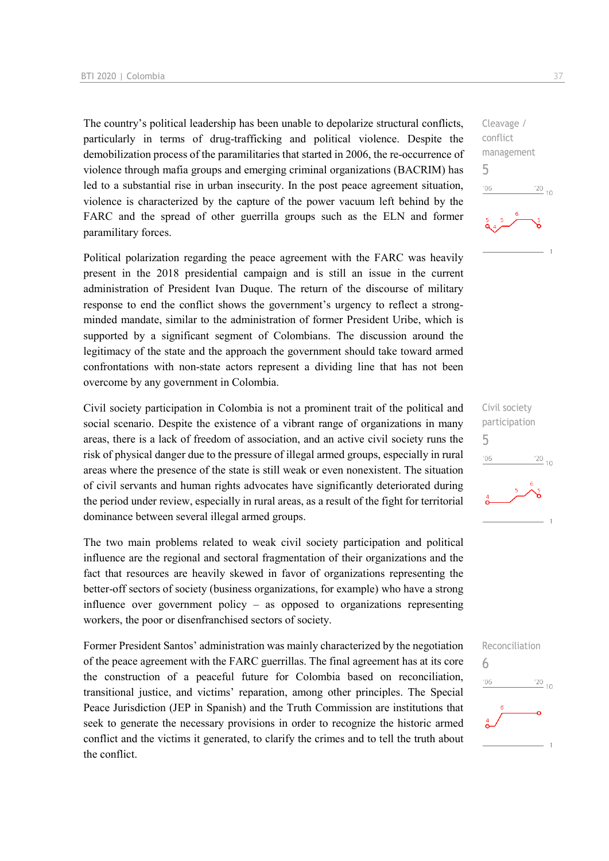The country's political leadership has been unable to depolarize structural conflicts, particularly in terms of drug-trafficking and political violence. Despite the demobilization process of the paramilitaries that started in 2006, the re-occurrence of violence through mafia groups and emerging criminal organizations (BACRIM) has led to a substantial rise in urban insecurity. In the post peace agreement situation, violence is characterized by the capture of the power vacuum left behind by the FARC and the spread of other guerrilla groups such as the ELN and former paramilitary forces.

Political polarization regarding the peace agreement with the FARC was heavily present in the 2018 presidential campaign and is still an issue in the current administration of President Ivan Duque. The return of the discourse of military response to end the conflict shows the government's urgency to reflect a strongminded mandate, similar to the administration of former President Uribe, which is supported by a significant segment of Colombians. The discussion around the legitimacy of the state and the approach the government should take toward armed confrontations with non-state actors represent a dividing line that has not been overcome by any government in Colombia.

Civil society participation in Colombia is not a prominent trait of the political and social scenario. Despite the existence of a vibrant range of organizations in many areas, there is a lack of freedom of association, and an active civil society runs the risk of physical danger due to the pressure of illegal armed groups, especially in rural areas where the presence of the state is still weak or even nonexistent. The situation of civil servants and human rights advocates have significantly deteriorated during the period under review, especially in rural areas, as a result of the fight for territorial dominance between several illegal armed groups.

The two main problems related to weak civil society participation and political influence are the regional and sectoral fragmentation of their organizations and the fact that resources are heavily skewed in favor of organizations representing the better-off sectors of society (business organizations, for example) who have a strong influence over government policy – as opposed to organizations representing workers, the poor or disenfranchised sectors of society.

Former President Santos' administration was mainly characterized by the negotiation of the peace agreement with the FARC guerrillas. The final agreement has at its core the construction of a peaceful future for Colombia based on reconciliation, transitional justice, and victims' reparation, among other principles. The Special Peace Jurisdiction (JEP in Spanish) and the Truth Commission are institutions that seek to generate the necessary provisions in order to recognize the historic armed conflict and the victims it generated, to clarify the crimes and to tell the truth about the conflict.

Cleavage / conflict management 5  $n6$  $\frac{20}{10}$ 



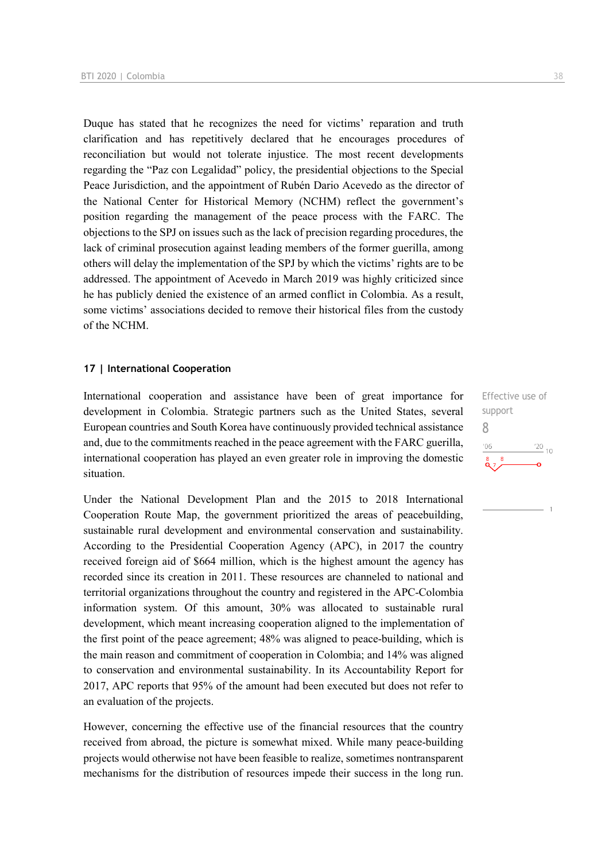Duque has stated that he recognizes the need for victims' reparation and truth clarification and has repetitively declared that he encourages procedures of reconciliation but would not tolerate injustice. The most recent developments regarding the "Paz con Legalidad" policy, the presidential objections to the Special Peace Jurisdiction, and the appointment of Rubén Dario Acevedo as the director of the National Center for Historical Memory (NCHM) reflect the government's position regarding the management of the peace process with the FARC. The objections to the SPJ on issues such as the lack of precision regarding procedures, the lack of criminal prosecution against leading members of the former guerilla, among others will delay the implementation of the SPJ by which the victims' rights are to be addressed. The appointment of Acevedo in March 2019 was highly criticized since he has publicly denied the existence of an armed conflict in Colombia. As a result, some victims' associations decided to remove their historical files from the custody of the NCHM.

#### **17 | International Cooperation**

International cooperation and assistance have been of great importance for development in Colombia. Strategic partners such as the United States, several European countries and South Korea have continuously provided technical assistance and, due to the commitments reached in the peace agreement with the FARC guerilla, international cooperation has played an even greater role in improving the domestic situation.

Under the National Development Plan and the 2015 to 2018 International Cooperation Route Map, the government prioritized the areas of peacebuilding, sustainable rural development and environmental conservation and sustainability. According to the Presidential Cooperation Agency (APC), in 2017 the country received foreign aid of \$664 million, which is the highest amount the agency has recorded since its creation in 2011. These resources are channeled to national and territorial organizations throughout the country and registered in the APC-Colombia information system. Of this amount, 30% was allocated to sustainable rural development, which meant increasing cooperation aligned to the implementation of the first point of the peace agreement; 48% was aligned to peace-building, which is the main reason and commitment of cooperation in Colombia; and 14% was aligned to conservation and environmental sustainability. In its Accountability Report for 2017, APC reports that 95% of the amount had been executed but does not refer to an evaluation of the projects.

However, concerning the effective use of the financial resources that the country received from abroad, the picture is somewhat mixed. While many peace-building projects would otherwise not have been feasible to realize, sometimes nontransparent mechanisms for the distribution of resources impede their success in the long run.

Effective use of support 8 $\frac{20}{10}$  $06$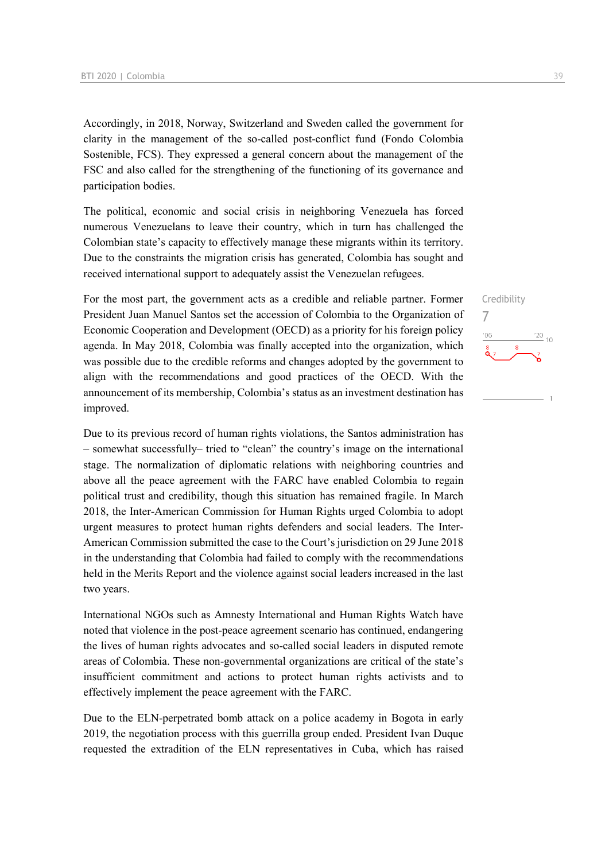Accordingly, in 2018, Norway, Switzerland and Sweden called the government for clarity in the management of the so-called post-conflict fund (Fondo Colombia Sostenible, FCS). They expressed a general concern about the management of the FSC and also called for the strengthening of the functioning of its governance and participation bodies.

The political, economic and social crisis in neighboring Venezuela has forced numerous Venezuelans to leave their country, which in turn has challenged the Colombian state's capacity to effectively manage these migrants within its territory. Due to the constraints the migration crisis has generated, Colombia has sought and received international support to adequately assist the Venezuelan refugees.

For the most part, the government acts as a credible and reliable partner. Former President Juan Manuel Santos set the accession of Colombia to the Organization of Economic Cooperation and Development (OECD) as a priority for his foreign policy agenda. In May 2018, Colombia was finally accepted into the organization, which was possible due to the credible reforms and changes adopted by the government to align with the recommendations and good practices of the OECD. With the announcement of its membership, Colombia's status as an investment destination has improved.

Due to its previous record of human rights violations, the Santos administration has – somewhat successfully– tried to "clean" the country's image on the international stage. The normalization of diplomatic relations with neighboring countries and above all the peace agreement with the FARC have enabled Colombia to regain political trust and credibility, though this situation has remained fragile. In March 2018, the Inter-American Commission for Human Rights urged Colombia to adopt urgent measures to protect human rights defenders and social leaders. The Inter-American Commission submitted the case to the Court's jurisdiction on 29 June 2018 in the understanding that Colombia had failed to comply with the recommendations held in the Merits Report and the violence against social leaders increased in the last two years.

International NGOs such as Amnesty International and Human Rights Watch have noted that violence in the post-peace agreement scenario has continued, endangering the lives of human rights advocates and so-called social leaders in disputed remote areas of Colombia. These non-governmental organizations are critical of the state's insufficient commitment and actions to protect human rights activists and to effectively implement the peace agreement with the FARC.

Due to the ELN-perpetrated bomb attack on a police academy in Bogota in early 2019, the negotiation process with this guerrilla group ended. President Ivan Duque requested the extradition of the ELN representatives in Cuba, which has raised Credibility 7 $\frac{20}{10}$  $06$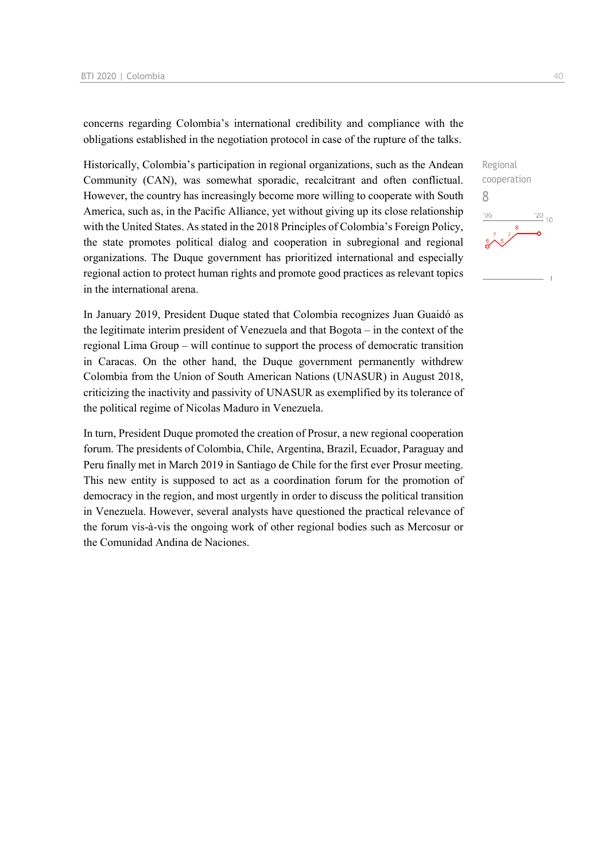concerns regarding Colombia's international credibility and compliance with the obligations established in the negotiation protocol in case of the rupture of the talks.

Historically, Colombia's participation in regional organizations, such as the Andean Community (CAN), was somewhat sporadic, recalcitrant and often conflictual. However, the country has increasingly become more willing to cooperate with South America, such as, in the Pacific Alliance, yet without giving up its close relationship with the United States. As stated in the 2018 Principles of Colombia's Foreign Policy, the state promotes political dialog and cooperation in subregional and regional organizations. The Duque government has prioritized international and especially regional action to protect human rights and promote good practices as relevant topics in the international arena.

In January 2019, President Duque stated that Colombia recognizes Juan Guaidó as the legitimate interim president of Venezuela and that Bogota – in the context of the regional Lima Group – will continue to support the process of democratic transition in Caracas. On the other hand, the Duque government permanently withdrew Colombia from the Union of South American Nations (UNASUR) in August 2018, criticizing the inactivity and passivity of UNASUR as exemplified by its tolerance of the political regime of Nicolas Maduro in Venezuela.

In turn, President Duque promoted the creation of Prosur, a new regional cooperation forum. The presidents of Colombia, Chile, Argentina, Brazil, Ecuador, Paraguay and Peru finally met in March 2019 in Santiago de Chile for the first ever Prosur meeting. This new entity is supposed to act as a coordination forum for the promotion of democracy in the region, and most urgently in order to discuss the political transition in Venezuela. However, several analysts have questioned the practical relevance of the forum vis-à-vis the ongoing work of other regional bodies such as Mercosur or the Comunidad Andina de Naciones.

| Regional                |               |    |
|-------------------------|---------------|----|
| cooperation             |               |    |
| X                       |               |    |
| '06                     | $^{\prime}20$ | 10 |
| 8<br>6<br>$\frac{6}{3}$ |               |    |
|                         |               | ×  |